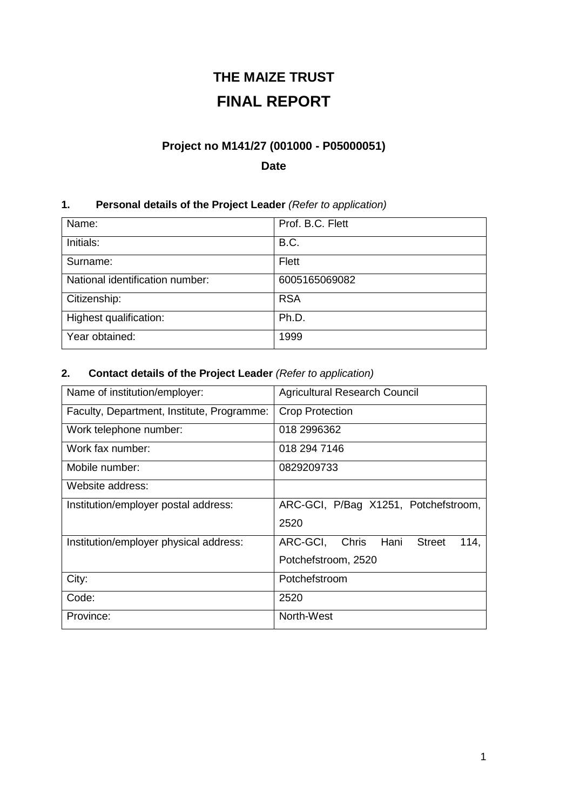# **THE MAIZE TRUST FINAL REPORT**

## **Project no M141/27 (001000 - P05000051)**

## **Date**

## **1. Personal details of the Project Leader** *(Refer to application)*

| Name:                           | Prof. B.C. Flett |
|---------------------------------|------------------|
| Initials:                       | <b>B.C.</b>      |
| Surname:                        | Flett            |
| National identification number: | 6005165069082    |
| Citizenship:                    | <b>RSA</b>       |
| Highest qualification:          | Ph.D.            |
| Year obtained:                  | 1999             |

## **2. Contact details of the Project Leader** *(Refer to application)*

| Name of institution/employer:              | <b>Agricultural Research Council</b>     |
|--------------------------------------------|------------------------------------------|
| Faculty, Department, Institute, Programme: | <b>Crop Protection</b>                   |
| Work telephone number:                     | 018 2996362                              |
| Work fax number:                           | 018 294 7146                             |
| Mobile number:                             | 0829209733                               |
| Website address:                           |                                          |
| Institution/employer postal address:       | ARC-GCI, P/Bag X1251, Potchefstroom,     |
|                                            | 2520                                     |
| Institution/employer physical address:     | ARC-GCI,<br>Hani Street<br>Chris<br>114. |
|                                            | Potchefstroom, 2520                      |
| City:                                      | Potchefstroom                            |
| Code:                                      | 2520                                     |
| Province:                                  | North-West                               |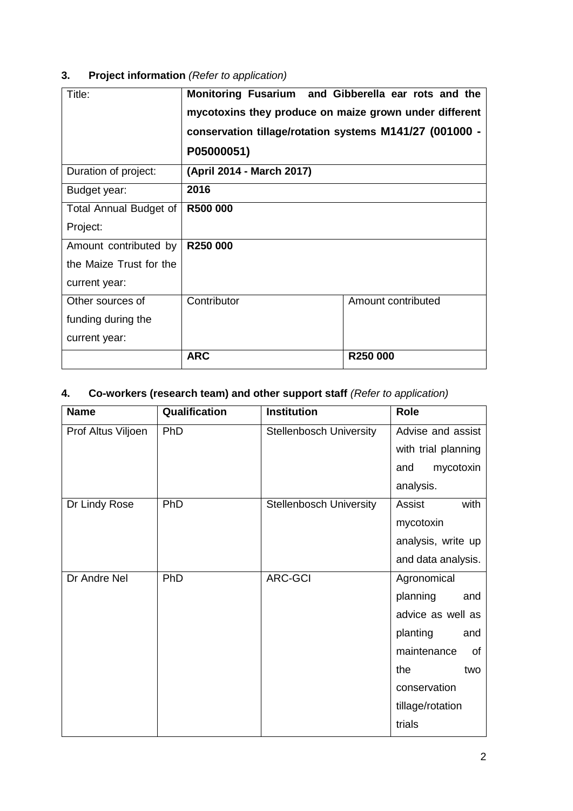## **3. Project information** *(Refer to application)*

| Title:                  | Monitoring Fusarium and Gibberella ear rots and the<br>mycotoxins they produce on maize grown under different<br>conservation tillage/rotation systems M141/27 (001000 -<br>P05000051) |                    |
|-------------------------|----------------------------------------------------------------------------------------------------------------------------------------------------------------------------------------|--------------------|
| Duration of project:    | (April 2014 - March 2017)                                                                                                                                                              |                    |
| Budget year:            | 2016                                                                                                                                                                                   |                    |
| Total Annual Budget of  | R500 000                                                                                                                                                                               |                    |
| Project:                |                                                                                                                                                                                        |                    |
| Amount contributed by   | R250 000                                                                                                                                                                               |                    |
| the Maize Trust for the |                                                                                                                                                                                        |                    |
| current year:           |                                                                                                                                                                                        |                    |
| Other sources of        | Contributor                                                                                                                                                                            | Amount contributed |
| funding during the      |                                                                                                                                                                                        |                    |
| current year:           |                                                                                                                                                                                        |                    |
|                         | <b>ARC</b>                                                                                                                                                                             | R250 000           |

## **4. Co-workers (research team) and other support staff** *(Refer to application)*

| <b>Name</b>        | Qualification | <b>Institution</b>             | Role                |
|--------------------|---------------|--------------------------------|---------------------|
| Prof Altus Viljoen | PhD           | <b>Stellenbosch University</b> | Advise and assist   |
|                    |               |                                | with trial planning |
|                    |               |                                | mycotoxin<br>and    |
|                    |               |                                | analysis.           |
| Dr Lindy Rose      | PhD           | <b>Stellenbosch University</b> | with<br>Assist      |
|                    |               |                                | mycotoxin           |
|                    |               |                                | analysis, write up  |
|                    |               |                                | and data analysis.  |
| Dr Andre Nel       | PhD           | <b>ARC-GCI</b>                 | Agronomical         |
|                    |               |                                | planning<br>and     |
|                    |               |                                | advice as well as   |
|                    |               |                                | planting<br>and     |
|                    |               |                                | maintenance<br>of   |
|                    |               |                                | the<br>two          |
|                    |               |                                | conservation        |
|                    |               |                                | tillage/rotation    |
|                    |               |                                | trials              |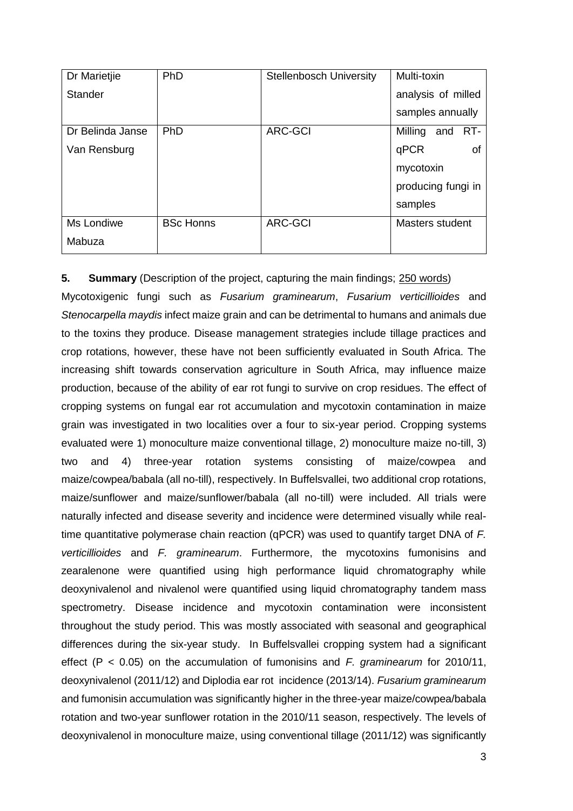| Dr Marietjie     | PhD              | <b>Stellenbosch University</b> | Multi-toxin        |
|------------------|------------------|--------------------------------|--------------------|
| Stander          |                  |                                | analysis of milled |
|                  |                  |                                | samples annually   |
| Dr Belinda Janse | PhD              | <b>ARC-GCI</b>                 | Milling and RT-    |
| Van Rensburg     |                  |                                | qPCR<br>0f         |
|                  |                  |                                | mycotoxin          |
|                  |                  |                                | producing fungi in |
|                  |                  |                                | samples            |
| Ms Londiwe       | <b>BSc Honns</b> | <b>ARC-GCI</b>                 | Masters student    |
| Mabuza           |                  |                                |                    |

## **5. Summary** (Description of the project, capturing the main findings; 250 words)

Mycotoxigenic fungi such as *Fusarium graminearum*, *Fusarium verticillioides* and *Stenocarpella maydis* infect maize grain and can be detrimental to humans and animals due to the toxins they produce. Disease management strategies include tillage practices and crop rotations, however, these have not been sufficiently evaluated in South Africa. The increasing shift towards conservation agriculture in South Africa, may influence maize production, because of the ability of ear rot fungi to survive on crop residues. The effect of cropping systems on fungal ear rot accumulation and mycotoxin contamination in maize grain was investigated in two localities over a four to six-year period. Cropping systems evaluated were 1) monoculture maize conventional tillage, 2) monoculture maize no-till, 3) two and 4) three-year rotation systems consisting of maize/cowpea and maize/cowpea/babala (all no-till), respectively. In Buffelsvallei, two additional crop rotations, maize/sunflower and maize/sunflower/babala (all no-till) were included. All trials were naturally infected and disease severity and incidence were determined visually while realtime quantitative polymerase chain reaction (qPCR) was used to quantify target DNA of *F. verticillioides* and *F. graminearum*. Furthermore, the mycotoxins fumonisins and zearalenone were quantified using high performance liquid chromatography while deoxynivalenol and nivalenol were quantified using liquid chromatography tandem mass spectrometry. Disease incidence and mycotoxin contamination were inconsistent throughout the study period. This was mostly associated with seasonal and geographical differences during the six-year study. In Buffelsvallei cropping system had a significant effect (P < 0.05) on the accumulation of fumonisins and *F. graminearum* for 2010/11, deoxynivalenol (2011/12) and Diplodia ear rot incidence (2013/14). *Fusarium graminearum*  and fumonisin accumulation was significantly higher in the three-year maize/cowpea/babala rotation and two-year sunflower rotation in the 2010/11 season, respectively. The levels of deoxynivalenol in monoculture maize, using conventional tillage (2011/12) was significantly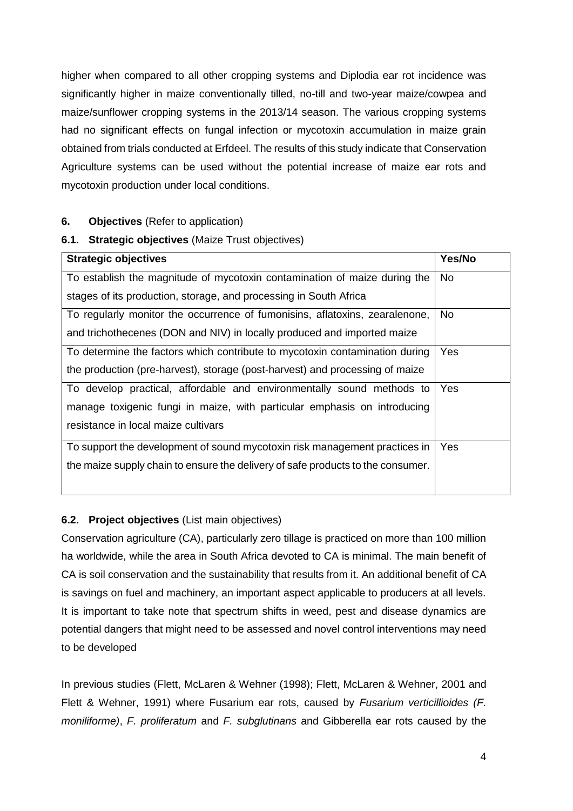higher when compared to all other cropping systems and Diplodia ear rot incidence was significantly higher in maize conventionally tilled, no-till and two-year maize/cowpea and maize/sunflower cropping systems in the 2013/14 season. The various cropping systems had no significant effects on fungal infection or mycotoxin accumulation in maize grain obtained from trials conducted at Erfdeel. The results of this study indicate that Conservation Agriculture systems can be used without the potential increase of maize ear rots and mycotoxin production under local conditions.

### **6. Objectives** (Refer to application)

### **6.1. Strategic objectives** (Maize Trust objectives)

| <b>Strategic objectives</b>                                                     | Yes/No     |
|---------------------------------------------------------------------------------|------------|
| To establish the magnitude of mycotoxin contamination of maize during the       | <b>No</b>  |
| stages of its production, storage, and processing in South Africa               |            |
| To regularly monitor the occurrence of fumonisins, aflatoxins, zearalenone,     | No.        |
| and trichothecenes (DON and NIV) in locally produced and imported maize         |            |
| To determine the factors which contribute to mycotoxin contamination during     | <b>Yes</b> |
| the production (pre-harvest), storage (post-harvest) and processing of maize    |            |
| To develop practical, affordable and environmentally sound methods to           | Yes        |
| manage toxigenic fungi in maize, with particular emphasis on introducing        |            |
| resistance in local maize cultivars                                             |            |
| To support the development of sound mycotoxin risk management practices in      | Yes        |
| the maize supply chain to ensure the delivery of safe products to the consumer. |            |
|                                                                                 |            |

## **6.2. Project objectives** (List main objectives)

Conservation agriculture (CA), particularly zero tillage is practiced on more than 100 million ha worldwide, while the area in South Africa devoted to CA is minimal. The main benefit of CA is soil conservation and the sustainability that results from it. An additional benefit of CA is savings on fuel and machinery, an important aspect applicable to producers at all levels. It is important to take note that spectrum shifts in weed, pest and disease dynamics are potential dangers that might need to be assessed and novel control interventions may need to be developed

In previous studies (Flett, McLaren & Wehner (1998); Flett, McLaren & Wehner, 2001 and Flett & Wehner, 1991) where Fusarium ear rots, caused by *Fusarium verticillioides (F. moniliforme)*, *F. proliferatum* and *F. subglutinans* and Gibberella ear rots caused by the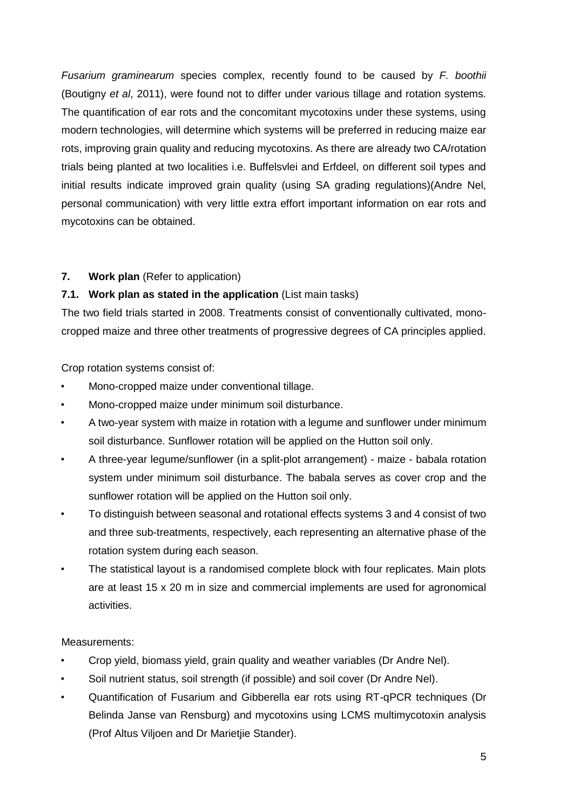*Fusarium graminearum* species complex, recently found to be caused by *F. boothii* (Boutigny *et al*, 2011), were found not to differ under various tillage and rotation systems. The quantification of ear rots and the concomitant mycotoxins under these systems, using modern technologies, will determine which systems will be preferred in reducing maize ear rots, improving grain quality and reducing mycotoxins. As there are already two CA/rotation trials being planted at two localities i.e. Buffelsvlei and Erfdeel, on different soil types and initial results indicate improved grain quality (using SA grading regulations)(Andre Nel, personal communication) with very little extra effort important information on ear rots and mycotoxins can be obtained.

## **7. Work plan** (Refer to application)

## **7.1. Work plan as stated in the application** (List main tasks)

The two field trials started in 2008. Treatments consist of conventionally cultivated, monocropped maize and three other treatments of progressive degrees of CA principles applied.

Crop rotation systems consist of:

- Mono-cropped maize under conventional tillage.
- Mono-cropped maize under minimum soil disturbance.
- A two-year system with maize in rotation with a legume and sunflower under minimum soil disturbance. Sunflower rotation will be applied on the Hutton soil only.
- A three-year legume/sunflower (in a split-plot arrangement) maize babala rotation system under minimum soil disturbance. The babala serves as cover crop and the sunflower rotation will be applied on the Hutton soil only.
- To distinguish between seasonal and rotational effects systems 3 and 4 consist of two and three sub-treatments, respectively, each representing an alternative phase of the rotation system during each season.
- The statistical layout is a randomised complete block with four replicates. Main plots are at least 15 x 20 m in size and commercial implements are used for agronomical activities.

#### Measurements:

- Crop yield, biomass yield, grain quality and weather variables (Dr Andre Nel).
- Soil nutrient status, soil strength (if possible) and soil cover (Dr Andre Nel).
- Quantification of Fusarium and Gibberella ear rots using RT-qPCR techniques (Dr Belinda Janse van Rensburg) and mycotoxins using LCMS multimycotoxin analysis (Prof Altus Viljoen and Dr Marietjie Stander).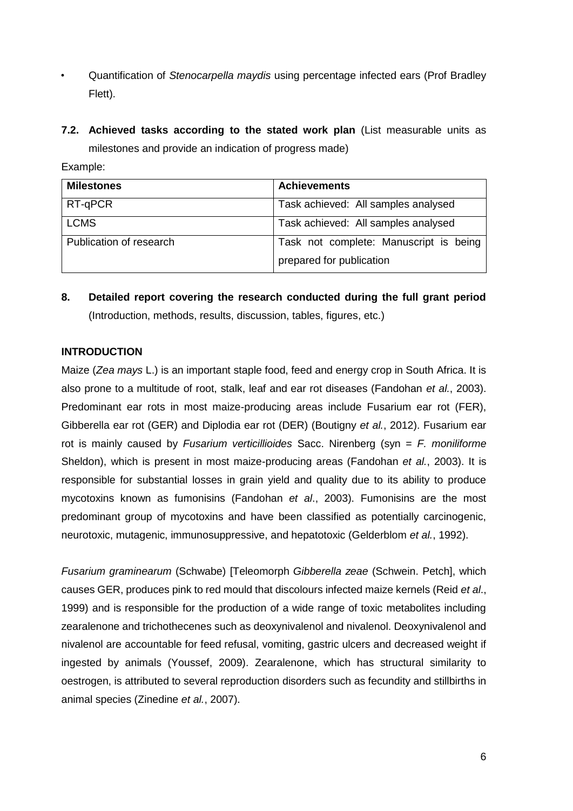- Quantification of *Stenocarpella maydis* using percentage infected ears (Prof Bradley Flett).
- **7.2. Achieved tasks according to the stated work plan** (List measurable units as milestones and provide an indication of progress made)

Example:

| <b>Milestones</b>       | <b>Achievements</b>                    |
|-------------------------|----------------------------------------|
| RT-qPCR                 | Task achieved: All samples analysed    |
| <b>LCMS</b>             | Task achieved: All samples analysed    |
| Publication of research | Task not complete: Manuscript is being |
|                         | prepared for publication               |

**8. Detailed report covering the research conducted during the full grant period**  (Introduction, methods, results, discussion, tables, figures, etc.)

### **INTRODUCTION**

Maize (*Zea mays* L.) is an important staple food, feed and energy crop in South Africa. It is also prone to a multitude of root, stalk, leaf and ear rot diseases (Fandohan *et al.*, 2003). Predominant ear rots in most maize-producing areas include Fusarium ear rot (FER), Gibberella ear rot (GER) and Diplodia ear rot (DER) (Boutigny *et al.*, 2012). Fusarium ear rot is mainly caused by *Fusarium verticillioides* Sacc. Nirenberg (syn = *F. moniliforme* Sheldon), which is present in most maize-producing areas (Fandohan *et al.*, 2003). It is responsible for substantial losses in grain yield and quality due to its ability to produce mycotoxins known as fumonisins (Fandohan *et al*., 2003). Fumonisins are the most predominant group of mycotoxins and have been classified as potentially carcinogenic, neurotoxic, mutagenic, immunosuppressive, and hepatotoxic (Gelderblom *et al.*, 1992).

*Fusarium graminearum* (Schwabe) [Teleomorph *Gibberella zeae* (Schwein. Petch], which causes GER, produces pink to red mould that discolours infected maize kernels (Reid *et al*., 1999) and is responsible for the production of a wide range of toxic metabolites including zearalenone and trichothecenes such as deoxynivalenol and nivalenol. Deoxynivalenol and nivalenol are accountable for feed refusal, vomiting, gastric ulcers and decreased weight if ingested by animals (Youssef, 2009). Zearalenone, which has structural similarity to oestrogen, is attributed to several reproduction disorders such as fecundity and stillbirths in animal species (Zinedine *et al.*, 2007).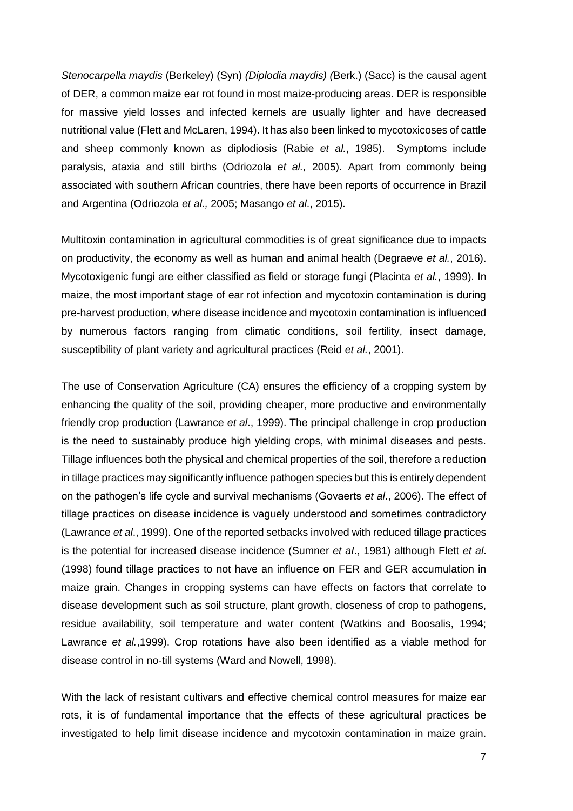*Stenocarpella maydis* (Berkeley) (Syn) *(Diplodia maydis) (*Berk.) (Sacc) is the causal agent of DER, a common maize ear rot found in most maize-producing areas. DER is responsible for massive yield losses and infected kernels are usually lighter and have decreased nutritional value (Flett and McLaren, 1994). It has also been linked to mycotoxicoses of cattle and sheep commonly known as diplodiosis (Rabie *et al.*, 1985). Symptoms include paralysis, ataxia and still births (Odriozola *et al.,* 2005). Apart from commonly being associated with southern African countries, there have been reports of occurrence in Brazil and Argentina (Odriozola *et al.,* 2005; Masango *et al*., 2015).

Multitoxin contamination in agricultural commodities is of great significance due to impacts on productivity, the economy as well as human and animal health (Degraeve *et al.*, 2016). Mycotoxigenic fungi are either classified as field or storage fungi (Placinta *et al.*, 1999). In maize, the most important stage of ear rot infection and mycotoxin contamination is during pre-harvest production, where disease incidence and mycotoxin contamination is influenced by numerous factors ranging from climatic conditions, soil fertility, insect damage, susceptibility of plant variety and agricultural practices (Reid *et al.*, 2001).

The use of Conservation Agriculture (CA) ensures the efficiency of a cropping system by enhancing the quality of the soil, providing cheaper, more productive and environmentally friendly crop production (Lawrance *et al*., 1999). The principal challenge in crop production is the need to sustainably produce high yielding crops, with minimal diseases and pests. Tillage influences both the physical and chemical properties of the soil, therefore a reduction in tillage practices may significantly influence pathogen species but this is entirely dependent on the pathogen's life cycle and survival mechanisms (Govaerts *et al*., 2006). The effect of tillage practices on disease incidence is vaguely understood and sometimes contradictory (Lawrance *et al*., 1999). One of the reported setbacks involved with reduced tillage practices is the potential for increased disease incidence (Sumner *et aI*., 1981) although Flett *et al*. (1998) found tillage practices to not have an influence on FER and GER accumulation in maize grain. Changes in cropping systems can have effects on factors that correlate to disease development such as soil structure, plant growth, closeness of crop to pathogens, residue availability, soil temperature and water content (Watkins and Boosalis, 1994; Lawrance *et al.*,1999). Crop rotations have also been identified as a viable method for disease control in no-till systems (Ward and Nowell, 1998).

With the lack of resistant cultivars and effective chemical control measures for maize ear rots, it is of fundamental importance that the effects of these agricultural practices be investigated to help limit disease incidence and mycotoxin contamination in maize grain.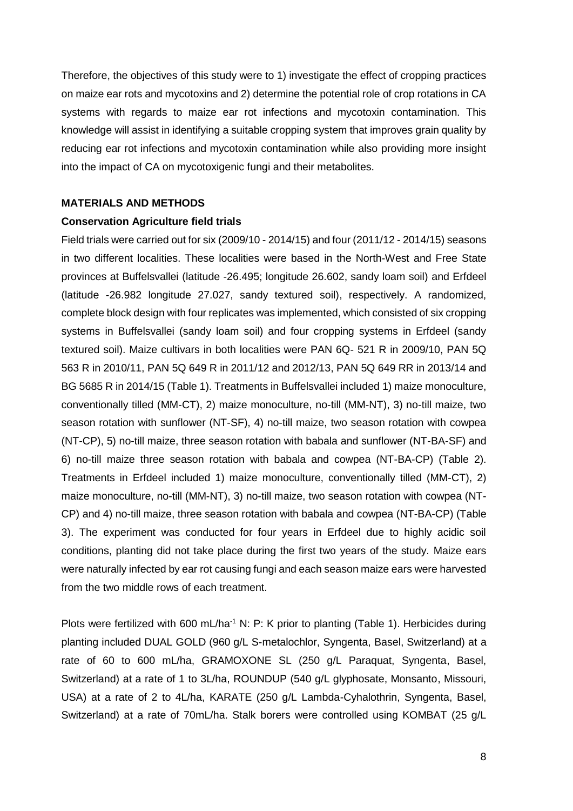Therefore, the objectives of this study were to 1) investigate the effect of cropping practices on maize ear rots and mycotoxins and 2) determine the potential role of crop rotations in CA systems with regards to maize ear rot infections and mycotoxin contamination. This knowledge will assist in identifying a suitable cropping system that improves grain quality by reducing ear rot infections and mycotoxin contamination while also providing more insight into the impact of CA on mycotoxigenic fungi and their metabolites.

#### **MATERIALS AND METHODS**

#### **Conservation Agriculture field trials**

Field trials were carried out for six (2009/10 - 2014/15) and four (2011/12 - 2014/15) seasons in two different localities. These localities were based in the North-West and Free State provinces at Buffelsvallei (latitude -26.495; longitude 26.602, sandy loam soil) and Erfdeel (latitude -26.982 longitude 27.027, sandy textured soil), respectively. A randomized, complete block design with four replicates was implemented, which consisted of six cropping systems in Buffelsvallei (sandy loam soil) and four cropping systems in Erfdeel (sandy textured soil). Maize cultivars in both localities were PAN 6Q- 521 R in 2009/10, PAN 5Q 563 R in 2010/11, PAN 5Q 649 R in 2011/12 and 2012/13, PAN 5Q 649 RR in 2013/14 and BG 5685 R in 2014/15 (Table 1). Treatments in Buffelsvallei included 1) maize monoculture, conventionally tilled (MM-CT), 2) maize monoculture, no-till (MM-NT), 3) no-till maize, two season rotation with sunflower (NT-SF), 4) no-till maize, two season rotation with cowpea (NT-CP), 5) no-till maize, three season rotation with babala and sunflower (NT-BA-SF) and 6) no-till maize three season rotation with babala and cowpea (NT-BA-CP) (Table 2). Treatments in Erfdeel included 1) maize monoculture, conventionally tilled (MM-CT), 2) maize monoculture, no-till (MM-NT), 3) no-till maize, two season rotation with cowpea (NT-CP) and 4) no-till maize, three season rotation with babala and cowpea (NT-BA-CP) (Table 3). The experiment was conducted for four years in Erfdeel due to highly acidic soil conditions, planting did not take place during the first two years of the study. Maize ears were naturally infected by ear rot causing fungi and each season maize ears were harvested from the two middle rows of each treatment.

Plots were fertilized with 600 mL/ha<sup>-1</sup> N: P: K prior to planting (Table 1). Herbicides during planting included DUAL GOLD (960 g/L S-metalochlor, Syngenta, Basel, Switzerland) at a rate of 60 to 600 mL/ha, GRAMOXONE SL (250 g/L Paraquat, Syngenta, Basel, Switzerland) at a rate of 1 to 3L/ha, ROUNDUP (540 g/L glyphosate, Monsanto, Missouri, USA) at a rate of 2 to 4L/ha, KARATE (250 g/L Lambda-Cyhalothrin, Syngenta, Basel, Switzerland) at a rate of 70mL/ha. Stalk borers were controlled using KOMBAT (25 g/L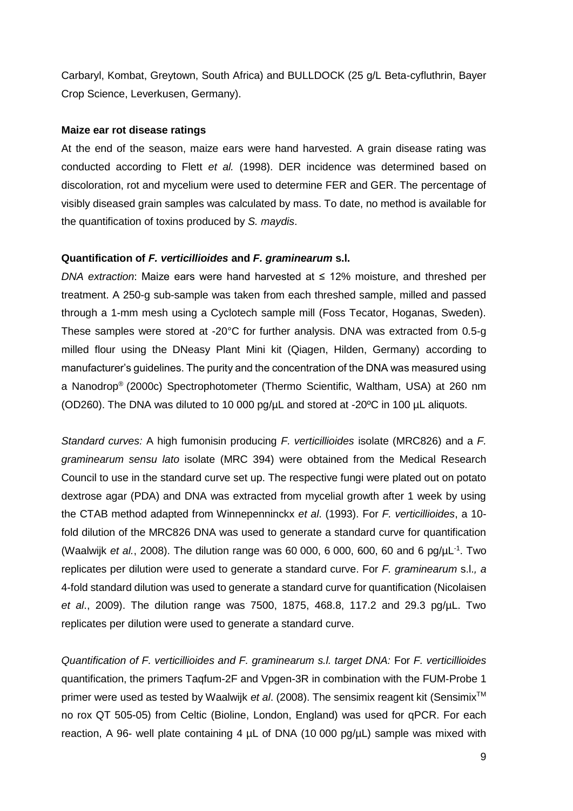Carbaryl, Kombat, Greytown, South Africa) and BULLDOCK (25 g/L Beta-cyfluthrin, Bayer Crop Science, Leverkusen, Germany).

#### **Maize ear rot disease ratings**

At the end of the season, maize ears were hand harvested. A grain disease rating was conducted according to Flett *et al.* (1998). DER incidence was determined based on discoloration, rot and mycelium were used to determine FER and GER. The percentage of visibly diseased grain samples was calculated by mass. To date, no method is available for the quantification of toxins produced by *S. maydis*.

#### **Quantification of** *F. verticillioides* **and** *F. graminearum* **s.l.**

*DNA extraction*: Maize ears were hand harvested at ≤ 12% moisture, and threshed per treatment. A 250-g sub-sample was taken from each threshed sample, milled and passed through a 1-mm mesh using a Cyclotech sample mill (Foss Tecator, Hoganas, Sweden). These samples were stored at -20°C for further analysis. DNA was extracted from 0.5-g milled flour using the DNeasy Plant Mini kit (Qiagen, Hilden, Germany) according to manufacturer's guidelines. The purity and the concentration of the DNA was measured using a Nanodrop® (2000c) Spectrophotometer (Thermo Scientific, Waltham, USA) at 260 nm (OD260). The DNA was diluted to 10 000 pg/µL and stored at -20ºC in 100 µL aliquots.

*Standard curves:* A high fumonisin producing *F. verticillioides* isolate (MRC826) and a *F. graminearum sensu lato* isolate (MRC 394) were obtained from the Medical Research Council to use in the standard curve set up. The respective fungi were plated out on potato dextrose agar (PDA) and DNA was extracted from mycelial growth after 1 week by using the CTAB method adapted from Winnepenninckx *et al*. (1993). For *F. verticillioides*, a 10 fold dilution of the MRC826 DNA was used to generate a standard curve for quantification (Waalwijk *et al.*, 2008). The dilution range was 60 000, 6 000, 600, 60 and 6 pg/µL-1 . Two replicates per dilution were used to generate a standard curve. For *F. graminearum* s.l.*, a* 4-fold standard dilution was used to generate a standard curve for quantification (Nicolaisen *et al*., 2009). The dilution range was 7500, 1875, 468.8, 117.2 and 29.3 pg/µL. Two replicates per dilution were used to generate a standard curve.

*Quantification of F. verticillioides and F. graminearum s.l. target DNA:* For *F. verticillioides* quantification, the primers Taqfum-2F and Vpgen-3R in combination with the FUM-Probe 1 primer were used as tested by Waalwijk *et al.* (2008). The sensimix reagent kit (Sensimix<sup>™</sup> no rox QT 505-05) from Celtic (Bioline, London, England) was used for qPCR. For each reaction, A 96- well plate containing 4  $\mu$ L of DNA (10 000 pg/ $\mu$ L) sample was mixed with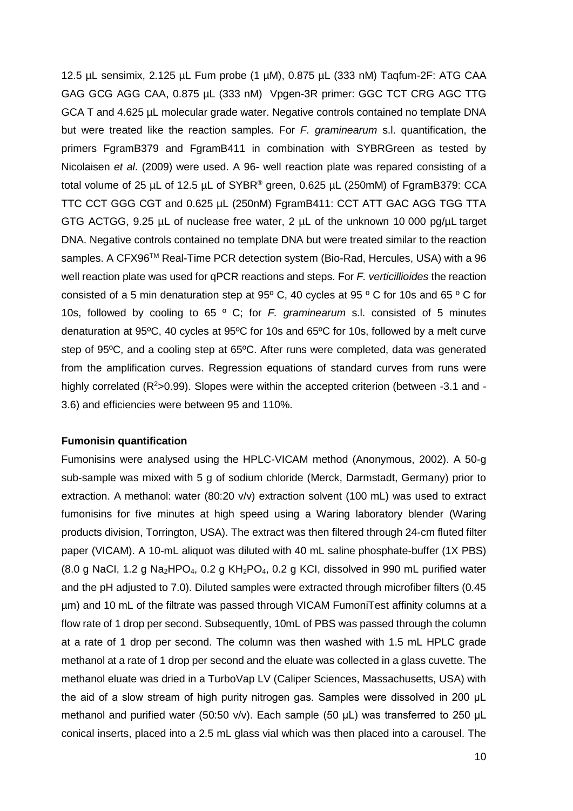12.5 µL sensimix, 2.125 µL Fum probe (1 µM), 0.875 µL (333 nM) Taqfum-2F: ATG CAA GAG GCG AGG CAA, 0.875 µL (333 nM) Vpgen-3R primer: GGC TCT CRG AGC TTG GCA T and 4.625 µL molecular grade water. Negative controls contained no template DNA but were treated like the reaction samples. For *F. graminearum* s.l. quantification, the primers FgramB379 and FgramB411 in combination with SYBRGreen as tested by Nicolaisen *et al*. (2009) were used. A 96- well reaction plate was repared consisting of a total volume of 25 µL of 12.5 µL of SYBR<sup>®</sup> green, 0.625 µL (250mM) of FgramB379: CCA TTC CCT GGG CGT and 0.625 µL (250nM) FgramB411: CCT ATT GAC AGG TGG TTA GTG ACTGG, 9.25 µL of nuclease free water, 2 µL of the unknown 10 000 pg/µL target DNA. Negative controls contained no template DNA but were treated similar to the reaction samples. A CFX96™ Real-Time PCR detection system (Bio-Rad, Hercules, USA) with a 96 well reaction plate was used for qPCR reactions and steps. For *F. verticillioides* the reaction consisted of a 5 min denaturation step at  $95^{\circ}$  C, 40 cycles at  $95^{\circ}$  C for 10s and 65  $^{\circ}$  C for 10s, followed by cooling to 65 º C; for *F. graminearum* s.l. consisted of 5 minutes denaturation at 95ºC, 40 cycles at 95ºC for 10s and 65ºC for 10s, followed by a melt curve step of 95ºC, and a cooling step at 65ºC. After runs were completed, data was generated from the amplification curves. Regression equations of standard curves from runs were highly correlated ( $R^2$ >0.99). Slopes were within the accepted criterion (between -3.1 and -3.6) and efficiencies were between 95 and 110%.

#### **Fumonisin quantification**

Fumonisins were analysed using the HPLC-VICAM method (Anonymous, 2002). A 50-g sub-sample was mixed with 5 g of sodium chloride (Merck, Darmstadt, Germany) prior to extraction. A methanol: water (80:20 v/v) extraction solvent (100 mL) was used to extract fumonisins for five minutes at high speed using a Waring laboratory blender (Waring products division, Torrington, USA). The extract was then filtered through 24-cm fluted filter paper (VICAM). A 10-mL aliquot was diluted with 40 mL saline phosphate-buffer (1X PBS) (8.0 g NaCl, 1.2 g Na<sub>2</sub>HPO<sub>4</sub>, 0.2 g KH<sub>2</sub>PO<sub>4</sub>, 0.2 g KCl, dissolved in 990 mL purified water and the pH adjusted to 7.0). Diluted samples were extracted through microfiber filters (0.45 µm) and 10 mL of the filtrate was passed through VICAM FumoniTest affinity columns at a flow rate of 1 drop per second. Subsequently, 10mL of PBS was passed through the column at a rate of 1 drop per second. The column was then washed with 1.5 mL HPLC grade methanol at a rate of 1 drop per second and the eluate was collected in a glass cuvette. The methanol eluate was dried in a TurboVap LV (Caliper Sciences, Massachusetts, USA) with the aid of a slow stream of high purity nitrogen gas. Samples were dissolved in 200 μL methanol and purified water (50:50 v/v). Each sample (50 μL) was transferred to 250 μL conical inserts, placed into a 2.5 mL glass vial which was then placed into a carousel. The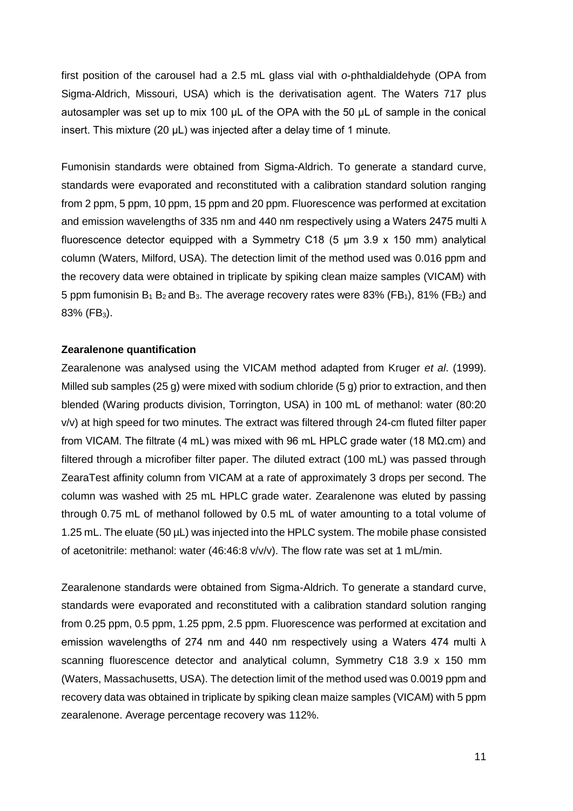first position of the carousel had a 2.5 mL glass vial with *o*-phthaldialdehyde (OPA from Sigma-Aldrich, Missouri, USA) which is the derivatisation agent. The Waters 717 plus autosampler was set up to mix 100 μL of the OPA with the 50 μL of sample in the conical insert. This mixture (20 μL) was injected after a delay time of 1 minute.

Fumonisin standards were obtained from Sigma-Aldrich. To generate a standard curve, standards were evaporated and reconstituted with a calibration standard solution ranging from 2 ppm, 5 ppm, 10 ppm, 15 ppm and 20 ppm. Fluorescence was performed at excitation and emission wavelengths of 335 nm and 440 nm respectively using a Waters 2475 multi λ fluorescence detector equipped with a Symmetry C18 (5 µm 3.9 x 150 mm) analytical column (Waters, Milford, USA). The detection limit of the method used was 0.016 ppm and the recovery data were obtained in triplicate by spiking clean maize samples (VICAM) with 5 ppm fumonisin  $B_1 B_2$  and  $B_3$ . The average recovery rates were 83% (FB<sub>1</sub>), 81% (FB<sub>2</sub>) and  $83\%$  (FB<sub>3</sub>).

#### **Zearalenone quantification**

Zearalenone was analysed using the VICAM method adapted from Kruger *et al*. (1999). Milled sub samples (25 g) were mixed with sodium chloride (5 g) prior to extraction, and then blended (Waring products division, Torrington, USA) in 100 mL of methanol: water (80:20 v/v) at high speed for two minutes. The extract was filtered through 24-cm fluted filter paper from VICAM. The filtrate (4 mL) was mixed with 96 mL HPLC grade water (18 MΩ.cm) and filtered through a microfiber filter paper. The diluted extract (100 mL) was passed through ZearaTest affinity column from VICAM at a rate of approximately 3 drops per second. The column was washed with 25 mL HPLC grade water. Zearalenone was eluted by passing through 0.75 mL of methanol followed by 0.5 mL of water amounting to a total volume of 1.25 mL. The eluate (50 µL) was injected into the HPLC system. The mobile phase consisted of acetonitrile: methanol: water (46:46:8 v/v/v). The flow rate was set at 1 mL/min.

Zearalenone standards were obtained from Sigma-Aldrich. To generate a standard curve, standards were evaporated and reconstituted with a calibration standard solution ranging from 0.25 ppm, 0.5 ppm, 1.25 ppm, 2.5 ppm. Fluorescence was performed at excitation and emission wavelengths of 274 nm and 440 nm respectively using a Waters 474 multi λ scanning fluorescence detector and analytical column, Symmetry C18 3.9 x 150 mm (Waters, Massachusetts, USA). The detection limit of the method used was 0.0019 ppm and recovery data was obtained in triplicate by spiking clean maize samples (VICAM) with 5 ppm zearalenone. Average percentage recovery was 112%.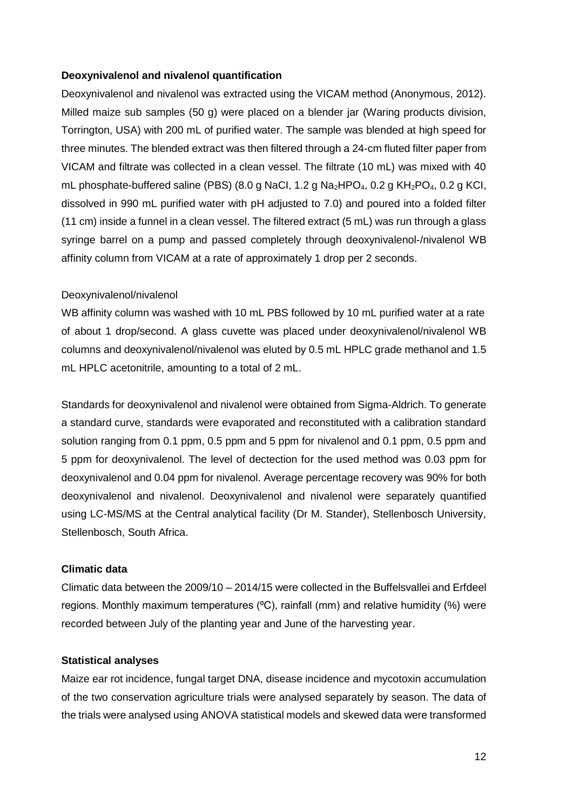#### **Deoxynivalenol and nivalenol quantification**

Deoxynivalenol and nivalenol was extracted using the VICAM method (Anonymous, 2012). Milled maize sub samples (50 g) were placed on a blender jar (Waring products division, Torrington, USA) with 200 mL of purified water. The sample was blended at high speed for three minutes. The blended extract was then filtered through a 24-cm fluted filter paper from VICAM and filtrate was collected in a clean vessel. The filtrate (10 mL) was mixed with 40 mL phosphate-buffered saline (PBS) (8.0 g NaCl, 1.2 g Na<sub>2</sub>HPO<sub>4</sub>, 0.2 g KH<sub>2</sub>PO<sub>4</sub>, 0.2 g KCl, dissolved in 990 mL purified water with pH adjusted to 7.0) and poured into a folded filter (11 cm) inside a funnel in a clean vessel. The filtered extract (5 mL) was run through a glass syringe barrel on a pump and passed completely through deoxynivalenol-/nivalenol WB affinity column from VICAM at a rate of approximately 1 drop per 2 seconds.

#### Deoxynivalenol/nivalenol

WB affinity column was washed with 10 mL PBS followed by 10 mL purified water at a rate of about 1 drop/second. A glass cuvette was placed under deoxynivalenol/nivalenol WB columns and deoxynivalenol/nivalenol was eluted by 0.5 mL HPLC grade methanol and 1.5 mL HPLC acetonitrile, amounting to a total of 2 mL.

Standards for deoxynivalenol and nivalenol were obtained from Sigma-Aldrich. To generate a standard curve, standards were evaporated and reconstituted with a calibration standard solution ranging from 0.1 ppm, 0.5 ppm and 5 ppm for nivalenol and 0.1 ppm, 0.5 ppm and 5 ppm for deoxynivalenol. The level of dectection for the used method was 0.03 ppm for deoxynivalenol and 0.04 ppm for nivalenol. Average percentage recovery was 90% for both deoxynivalenol and nivalenol. Deoxynivalenol and nivalenol were separately quantified using LC-MS/MS at the Central analytical facility (Dr M. Stander), Stellenbosch University, Stellenbosch, South Africa.

#### **Climatic data**

Climatic data between the 2009/10 – 2014/15 were collected in the Buffelsvallei and Erfdeel regions. Monthly maximum temperatures ( $\degree$ C), rainfall (mm) and relative humidity (%) were recorded between July of the planting year and June of the harvesting year.

#### **Statistical analyses**

Maize ear rot incidence, fungal target DNA, disease incidence and mycotoxin accumulation of the two conservation agriculture trials were analysed separately by season. The data of the trials were analysed using ANOVA statistical models and skewed data were transformed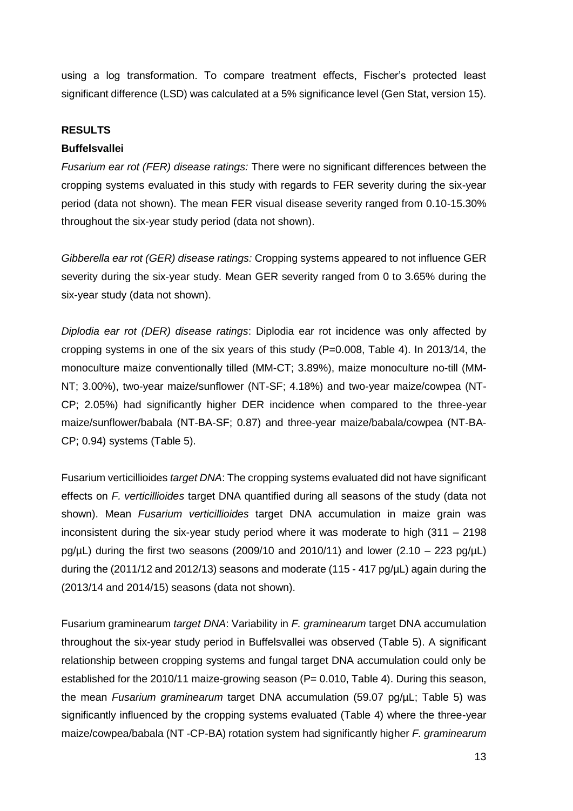using a log transformation. To compare treatment effects, Fischer's protected least significant difference (LSD) was calculated at a 5% significance level (Gen Stat, version 15).

#### **RESULTS**

#### **Buffelsvallei**

*Fusarium ear rot (FER) disease ratings:* There were no significant differences between the cropping systems evaluated in this study with regards to FER severity during the six-year period (data not shown). The mean FER visual disease severity ranged from 0.10-15.30% throughout the six-year study period (data not shown).

*Gibberella ear rot (GER) disease ratings:* Cropping systems appeared to not influence GER severity during the six-year study. Mean GER severity ranged from 0 to 3.65% during the six-year study (data not shown).

*Diplodia ear rot (DER) disease ratings*: Diplodia ear rot incidence was only affected by cropping systems in one of the six years of this study (P=0.008, Table 4). In 2013/14, the monoculture maize conventionally tilled (MM-CT; 3.89%), maize monoculture no-till (MM-NT; 3.00%), two-year maize/sunflower (NT-SF; 4.18%) and two-year maize/cowpea (NT-CP; 2.05%) had significantly higher DER incidence when compared to the three-year maize/sunflower/babala (NT-BA-SF; 0.87) and three-year maize/babala/cowpea (NT-BA-CP; 0.94) systems (Table 5).

Fusarium verticillioides *target DNA*: The cropping systems evaluated did not have significant effects on *F. verticillioides* target DNA quantified during all seasons of the study (data not shown). Mean *Fusarium verticillioides* target DNA accumulation in maize grain was inconsistent during the six-year study period where it was moderate to high (311 – 2198 pg/ $\mu$ L) during the first two seasons (2009/10 and 2010/11) and lower (2.10 – 223 pg/ $\mu$ L) during the (2011/12 and 2012/13) seasons and moderate (115 - 417 pg/ $\mu$ L) again during the (2013/14 and 2014/15) seasons (data not shown).

Fusarium graminearum *target DNA*: Variability in *F. graminearum* target DNA accumulation throughout the six-year study period in Buffelsvallei was observed (Table 5). A significant relationship between cropping systems and fungal target DNA accumulation could only be established for the 2010/11 maize-growing season (P= 0.010, Table 4). During this season, the mean *Fusarium graminearum* target DNA accumulation (59.07 pg/µL; Table 5) was significantly influenced by the cropping systems evaluated (Table 4) where the three-year maize/cowpea/babala (NT -CP-BA) rotation system had significantly higher *F. graminearum*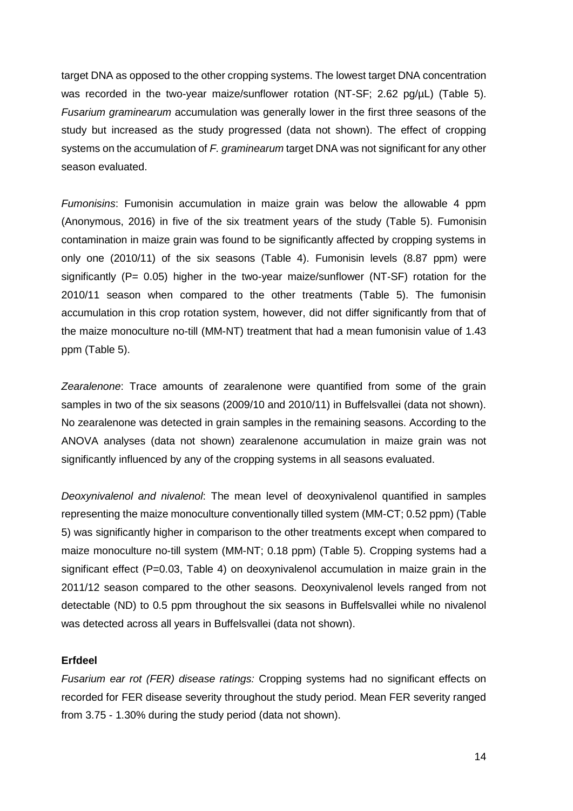target DNA as opposed to the other cropping systems. The lowest target DNA concentration was recorded in the two-year maize/sunflower rotation (NT-SF; 2.62 pg/µL) (Table 5). *Fusarium graminearum* accumulation was generally lower in the first three seasons of the study but increased as the study progressed (data not shown). The effect of cropping systems on the accumulation of *F. graminearum* target DNA was not significant for any other season evaluated.

*Fumonisins*: Fumonisin accumulation in maize grain was below the allowable 4 ppm (Anonymous, 2016) in five of the six treatment years of the study (Table 5). Fumonisin contamination in maize grain was found to be significantly affected by cropping systems in only one (2010/11) of the six seasons (Table 4). Fumonisin levels (8.87 ppm) were significantly (P= 0.05) higher in the two-year maize/sunflower (NT-SF) rotation for the 2010/11 season when compared to the other treatments (Table 5). The fumonisin accumulation in this crop rotation system, however, did not differ significantly from that of the maize monoculture no-till (MM-NT) treatment that had a mean fumonisin value of 1.43 ppm (Table 5).

*Zearalenone*: Trace amounts of zearalenone were quantified from some of the grain samples in two of the six seasons (2009/10 and 2010/11) in Buffelsvallei (data not shown). No zearalenone was detected in grain samples in the remaining seasons. According to the ANOVA analyses (data not shown) zearalenone accumulation in maize grain was not significantly influenced by any of the cropping systems in all seasons evaluated.

*Deoxynivalenol and nivalenol*: The mean level of deoxynivalenol quantified in samples representing the maize monoculture conventionally tilled system (MM-CT; 0.52 ppm) (Table 5) was significantly higher in comparison to the other treatments except when compared to maize monoculture no-till system (MM-NT; 0.18 ppm) (Table 5). Cropping systems had a significant effect (P=0.03, Table 4) on deoxynivalenol accumulation in maize grain in the 2011/12 season compared to the other seasons. Deoxynivalenol levels ranged from not detectable (ND) to 0.5 ppm throughout the six seasons in Buffelsvallei while no nivalenol was detected across all years in Buffelsvallei (data not shown).

#### **Erfdeel**

*Fusarium ear rot (FER) disease ratings:* Cropping systems had no significant effects on recorded for FER disease severity throughout the study period. Mean FER severity ranged from 3.75 - 1.30% during the study period (data not shown).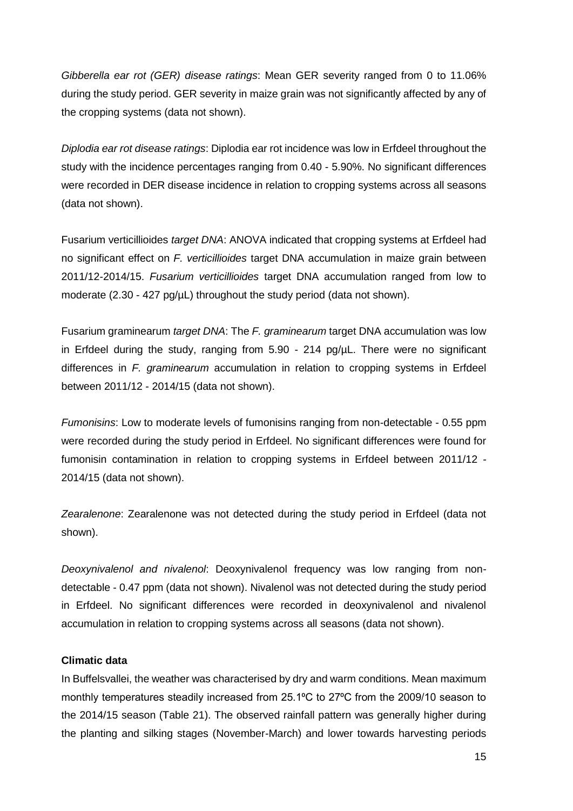*Gibberella ear rot (GER) disease ratings*: Mean GER severity ranged from 0 to 11.06% during the study period. GER severity in maize grain was not significantly affected by any of the cropping systems (data not shown).

*Diplodia ear rot disease ratings*: Diplodia ear rot incidence was low in Erfdeel throughout the study with the incidence percentages ranging from 0.40 - 5.90%. No significant differences were recorded in DER disease incidence in relation to cropping systems across all seasons (data not shown).

Fusarium verticillioides *target DNA*: ANOVA indicated that cropping systems at Erfdeel had no significant effect on *F. verticillioides* target DNA accumulation in maize grain between 2011/12-2014/15. *Fusarium verticillioides* target DNA accumulation ranged from low to moderate (2.30 - 427 pg/µL) throughout the study period (data not shown).

Fusarium graminearum *target DNA*: The *F. graminearum* target DNA accumulation was low in Erfdeel during the study, ranging from 5.90 - 214 pg/µL. There were no significant differences in *F. graminearum* accumulation in relation to cropping systems in Erfdeel between 2011/12 - 2014/15 (data not shown).

*Fumonisins*: Low to moderate levels of fumonisins ranging from non-detectable - 0.55 ppm were recorded during the study period in Erfdeel. No significant differences were found for fumonisin contamination in relation to cropping systems in Erfdeel between 2011/12 - 2014/15 (data not shown).

*Zearalenone*: Zearalenone was not detected during the study period in Erfdeel (data not shown).

*Deoxynivalenol and nivalenol*: Deoxynivalenol frequency was low ranging from nondetectable - 0.47 ppm (data not shown). Nivalenol was not detected during the study period in Erfdeel. No significant differences were recorded in deoxynivalenol and nivalenol accumulation in relation to cropping systems across all seasons (data not shown).

### **Climatic data**

In Buffelsvallei, the weather was characterised by dry and warm conditions. Mean maximum monthly temperatures steadily increased from 25.1°C to 27°C from the 2009/10 season to the 2014/15 season (Table 21). The observed rainfall pattern was generally higher during the planting and silking stages (November-March) and lower towards harvesting periods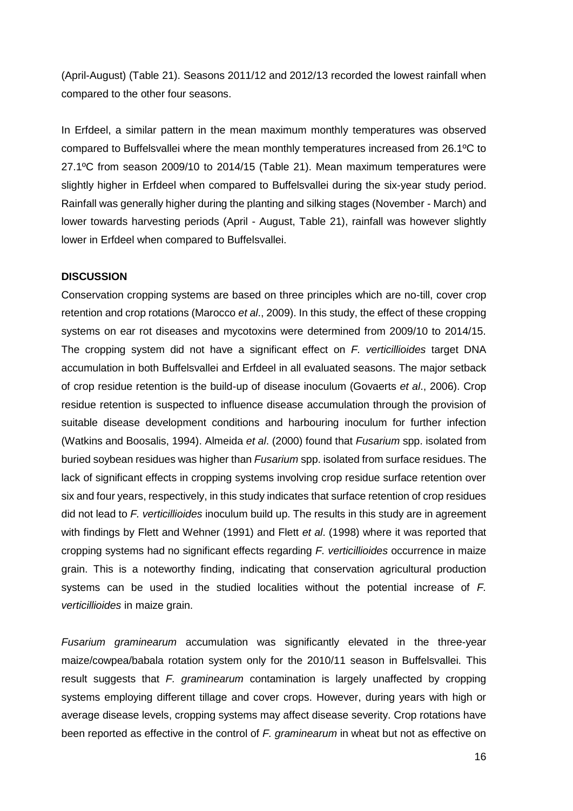(April-August) (Table 21). Seasons 2011/12 and 2012/13 recorded the lowest rainfall when compared to the other four seasons.

In Erfdeel, a similar pattern in the mean maximum monthly temperatures was observed compared to Buffelsvallei where the mean monthly temperatures increased from 26.1ºC to 27.1ºC from season 2009/10 to 2014/15 (Table 21). Mean maximum temperatures were slightly higher in Erfdeel when compared to Buffelsvallei during the six-year study period. Rainfall was generally higher during the planting and silking stages (November - March) and lower towards harvesting periods (April - August, Table 21), rainfall was however slightly lower in Erfdeel when compared to Buffelsvallei.

#### **DISCUSSION**

Conservation cropping systems are based on three principles which are no-till, cover crop retention and crop rotations (Marocco *et al*., 2009). In this study, the effect of these cropping systems on ear rot diseases and mycotoxins were determined from 2009/10 to 2014/15. The cropping system did not have a significant effect on *F. verticillioides* target DNA accumulation in both Buffelsvallei and Erfdeel in all evaluated seasons. The major setback of crop residue retention is the build-up of disease inoculum (Govaerts *et al*., 2006). Crop residue retention is suspected to influence disease accumulation through the provision of suitable disease development conditions and harbouring inoculum for further infection (Watkins and Boosalis, 1994). Almeida *et al*. (2000) found that *Fusarium* spp. isolated from buried soybean residues was higher than *Fusarium* spp. isolated from surface residues. The lack of significant effects in cropping systems involving crop residue surface retention over six and four years, respectively, in this study indicates that surface retention of crop residues did not lead to *F. verticillioides* inoculum build up. The results in this study are in agreement with findings by Flett and Wehner (1991) and Flett *et al*. (1998) where it was reported that cropping systems had no significant effects regarding *F. verticillioides* occurrence in maize grain. This is a noteworthy finding, indicating that conservation agricultural production systems can be used in the studied localities without the potential increase of *F. verticillioides* in maize grain.

*Fusarium graminearum* accumulation was significantly elevated in the three-year maize/cowpea/babala rotation system only for the 2010/11 season in Buffelsvallei. This result suggests that *F. graminearum* contamination is largely unaffected by cropping systems employing different tillage and cover crops. However, during years with high or average disease levels, cropping systems may affect disease severity. Crop rotations have been reported as effective in the control of *F. graminearum* in wheat but not as effective on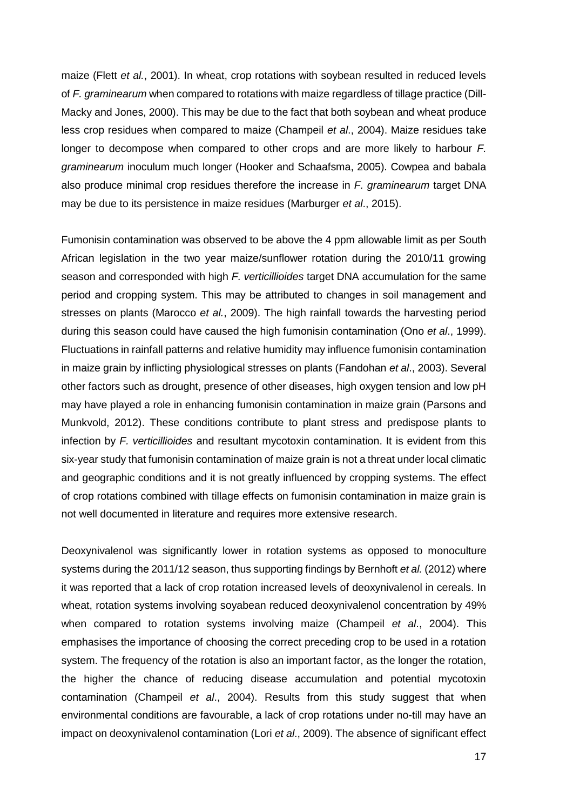maize (Flett *et al.*, 2001). In wheat, crop rotations with soybean resulted in reduced levels of *F. graminearum* when compared to rotations with maize regardless of tillage practice (Dill-Macky and Jones, 2000). This may be due to the fact that both soybean and wheat produce less crop residues when compared to maize (Champeil *et al*., 2004). Maize residues take longer to decompose when compared to other crops and are more likely to harbour *F. graminearum* inoculum much longer (Hooker and Schaafsma, 2005). Cowpea and babala also produce minimal crop residues therefore the increase in *F. graminearum* target DNA may be due to its persistence in maize residues (Marburger *et al*., 2015).

Fumonisin contamination was observed to be above the 4 ppm allowable limit as per South African legislation in the two year maize/sunflower rotation during the 2010/11 growing season and corresponded with high *F. verticillioides* target DNA accumulation for the same period and cropping system. This may be attributed to changes in soil management and stresses on plants (Marocco *et al.*, 2009). The high rainfall towards the harvesting period during this season could have caused the high fumonisin contamination (Ono *et al*., 1999). Fluctuations in rainfall patterns and relative humidity may influence fumonisin contamination in maize grain by inflicting physiological stresses on plants (Fandohan *et al*., 2003). Several other factors such as drought, presence of other diseases, high oxygen tension and low pH may have played a role in enhancing fumonisin contamination in maize grain (Parsons and Munkvold, 2012). These conditions contribute to plant stress and predispose plants to infection by *F. verticillioides* and resultant mycotoxin contamination. It is evident from this six-year study that fumonisin contamination of maize grain is not a threat under local climatic and geographic conditions and it is not greatly influenced by cropping systems. The effect of crop rotations combined with tillage effects on fumonisin contamination in maize grain is not well documented in literature and requires more extensive research.

Deoxynivalenol was significantly lower in rotation systems as opposed to monoculture systems during the 2011/12 season, thus supporting findings by Bernhoft *et al.* (2012) where it was reported that a lack of crop rotation increased levels of deoxynivalenol in cereals. In wheat, rotation systems involving soyabean reduced deoxynivalenol concentration by 49% when compared to rotation systems involving maize (Champeil *et al*., 2004). This emphasises the importance of choosing the correct preceding crop to be used in a rotation system. The frequency of the rotation is also an important factor, as the longer the rotation, the higher the chance of reducing disease accumulation and potential mycotoxin contamination (Champeil *et al*., 2004). Results from this study suggest that when environmental conditions are favourable, a lack of crop rotations under no-till may have an impact on deoxynivalenol contamination (Lori *et al*., 2009). The absence of significant effect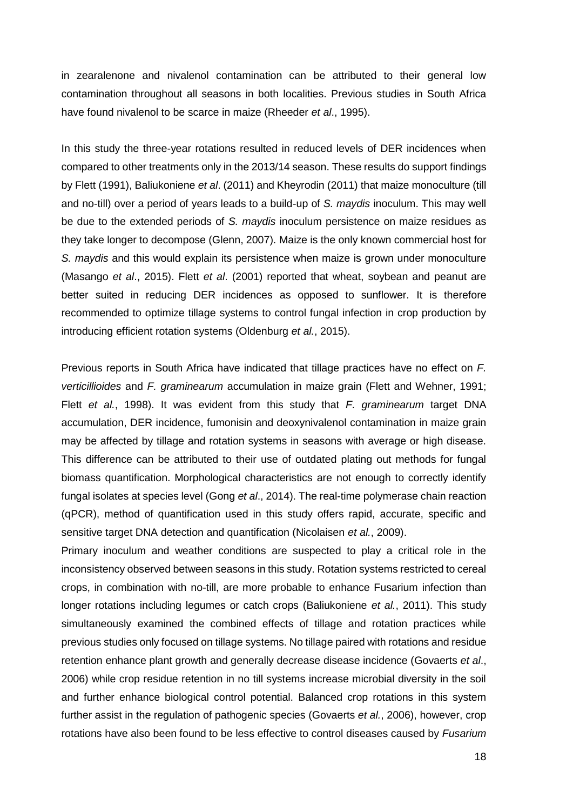in zearalenone and nivalenol contamination can be attributed to their general low contamination throughout all seasons in both localities. Previous studies in South Africa have found nivalenol to be scarce in maize (Rheeder *et al*., 1995).

In this study the three-year rotations resulted in reduced levels of DER incidences when compared to other treatments only in the 2013/14 season. These results do support findings by Flett (1991), Baliukoniene *et al*. (2011) and Kheyrodin (2011) that maize monoculture (till and no-till) over a period of years leads to a build-up of *S. maydis* inoculum. This may well be due to the extended periods of *S. maydis* inoculum persistence on maize residues as they take longer to decompose (Glenn, 2007). Maize is the only known commercial host for *S. maydis* and this would explain its persistence when maize is grown under monoculture (Masango *et al*., 2015). Flett *et al*. (2001) reported that wheat, soybean and peanut are better suited in reducing DER incidences as opposed to sunflower. It is therefore recommended to optimize tillage systems to control fungal infection in crop production by introducing efficient rotation systems (Oldenburg *et al.*, 2015).

Previous reports in South Africa have indicated that tillage practices have no effect on *F. verticillioides* and *F. graminearum* accumulation in maize grain (Flett and Wehner, 1991; Flett *et al.*, 1998). It was evident from this study that *F. graminearum* target DNA accumulation, DER incidence, fumonisin and deoxynivalenol contamination in maize grain may be affected by tillage and rotation systems in seasons with average or high disease. This difference can be attributed to their use of outdated plating out methods for fungal biomass quantification. Morphological characteristics are not enough to correctly identify fungal isolates at species level (Gong *et al*., 2014). The real-time polymerase chain reaction (qPCR), method of quantification used in this study offers rapid, accurate, specific and sensitive target DNA detection and quantification (Nicolaisen *et al.*, 2009).

Primary inoculum and weather conditions are suspected to play a critical role in the inconsistency observed between seasons in this study. Rotation systems restricted to cereal crops, in combination with no-till, are more probable to enhance Fusarium infection than longer rotations including legumes or catch crops (Baliukoniene *et al.*, 2011). This study simultaneously examined the combined effects of tillage and rotation practices while previous studies only focused on tillage systems. No tillage paired with rotations and residue retention enhance plant growth and generally decrease disease incidence (Govaerts *et al*., 2006) while crop residue retention in no till systems increase microbial diversity in the soil and further enhance biological control potential. Balanced crop rotations in this system further assist in the regulation of pathogenic species (Govaerts *et al.*, 2006), however, crop rotations have also been found to be less effective to control diseases caused by *Fusarium*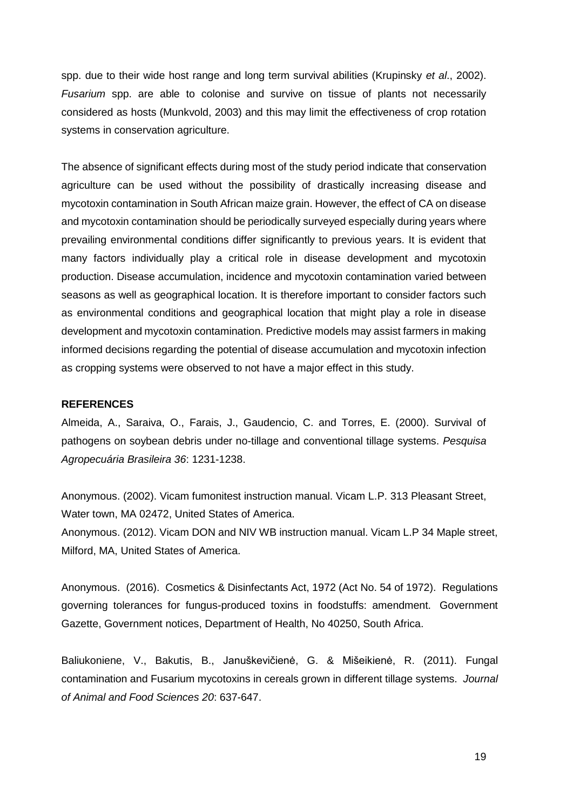spp. due to their wide host range and long term survival abilities (Krupinsky *et al*., 2002). *Fusarium* spp. are able to colonise and survive on tissue of plants not necessarily considered as hosts (Munkvold, 2003) and this may limit the effectiveness of crop rotation systems in conservation agriculture.

The absence of significant effects during most of the study period indicate that conservation agriculture can be used without the possibility of drastically increasing disease and mycotoxin contamination in South African maize grain. However, the effect of CA on disease and mycotoxin contamination should be periodically surveyed especially during years where prevailing environmental conditions differ significantly to previous years. It is evident that many factors individually play a critical role in disease development and mycotoxin production. Disease accumulation, incidence and mycotoxin contamination varied between seasons as well as geographical location. It is therefore important to consider factors such as environmental conditions and geographical location that might play a role in disease development and mycotoxin contamination. Predictive models may assist farmers in making informed decisions regarding the potential of disease accumulation and mycotoxin infection as cropping systems were observed to not have a major effect in this study.

#### **REFERENCES**

Almeida, A., Saraiva, O., Farais, J., Gaudencio, C. and Torres, E. (2000). Survival of pathogens on soybean debris under no-tillage and conventional tillage systems. *Pesquisa Agropecuária Brasileira 36*: 1231-1238.

Anonymous. (2002). Vicam fumonitest instruction manual. Vicam L.P. 313 Pleasant Street, Water town, MA 02472, United States of America.

Anonymous. (2012). Vicam DON and NIV WB instruction manual. Vicam L.P 34 Maple street, Milford, MA, United States of America.

Anonymous. (2016). Cosmetics & Disinfectants Act, 1972 (Act No. 54 of 1972). Regulations governing tolerances for fungus-produced toxins in foodstuffs: amendment. Government Gazette, Government notices, Department of Health, No 40250, South Africa.

Baliukoniene, V., Bakutis, B., Januškevičienė, G. & Mišeikienė, R. (2011). Fungal contamination and Fusarium mycotoxins in cereals grown in different tillage systems. *Journal of Animal and Food Sciences 20*: 637-647.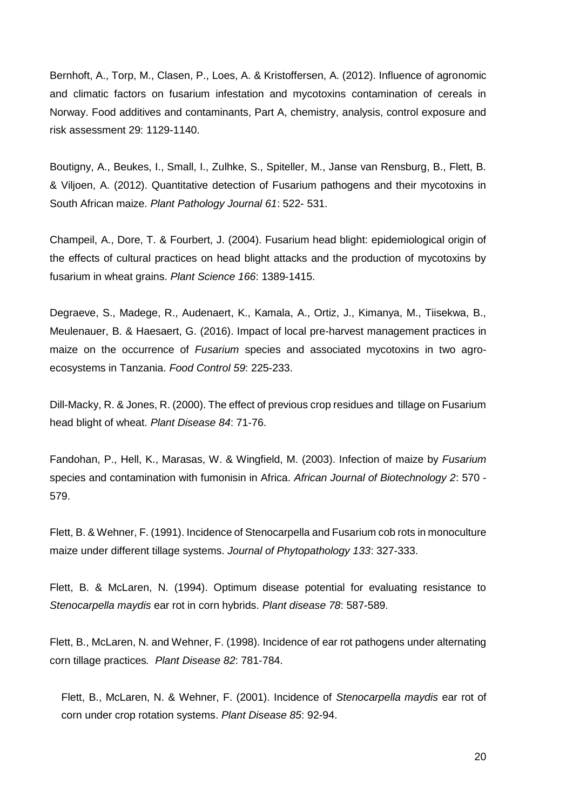Bernhoft, A., Torp, M., Clasen, P., Loes, A. & Kristoffersen, A. (2012). Influence of agronomic and climatic factors on fusarium infestation and mycotoxins contamination of cereals in Norway. Food additives and contaminants, Part A, chemistry, analysis, control exposure and risk assessment 29: 1129-1140.

Boutigny, A., Beukes, I., Small, I., Zulhke, S., Spiteller, M., Janse van Rensburg, B., Flett, B. & Viljoen, A. (2012). Quantitative detection of Fusarium pathogens and their mycotoxins in South African maize. *Plant Pathology Journal 61*: 522- 531.

Champeil, A., Dore, T. & Fourbert, J. (2004). Fusarium head blight: epidemiological origin of the effects of cultural practices on head blight attacks and the production of mycotoxins by fusarium in wheat grains. *Plant Science 166*: 1389-1415.

Degraeve, S., Madege, R., Audenaert, K., Kamala, A., Ortiz, J., Kimanya, M., Tiisekwa, B., Meulenauer, B. & Haesaert, G. (2016). Impact of local pre-harvest management practices in maize on the occurrence of *Fusarium* species and associated mycotoxins in two agroecosystems in Tanzania. *Food Control 59*: 225-233.

Dill-Macky, R. & Jones, R. (2000). The effect of previous crop residues and tillage on Fusarium head blight of wheat. *Plant Disease 84*: 71-76.

Fandohan, P., Hell, K., Marasas, W. & Wingfield, M. (2003). Infection of maize by *Fusarium* species and contamination with fumonisin in Africa. *African Journal of Biotechnology 2*: 570 - 579.

Flett, B. & Wehner, F. (1991). Incidence of Stenocarpella and Fusarium cob rots in monoculture maize under different tillage systems. *Journal of Phytopathology 133*: 327-333.

Flett, B. & McLaren, N. (1994). Optimum disease potential for evaluating resistance to *Stenocarpella maydis* ear rot in corn hybrids. *Plant disease 78*: 587-589.

Flett, B., McLaren, N. and Wehner, F. (1998). Incidence of ear rot pathogens under alternating corn tillage practices*. Plant Disease 82*: 781-784.

Flett, B., McLaren, N. & Wehner, F. (2001). Incidence of *Stenocarpella maydis* ear rot of corn under crop rotation systems. *Plant Disease 85*: 92-94.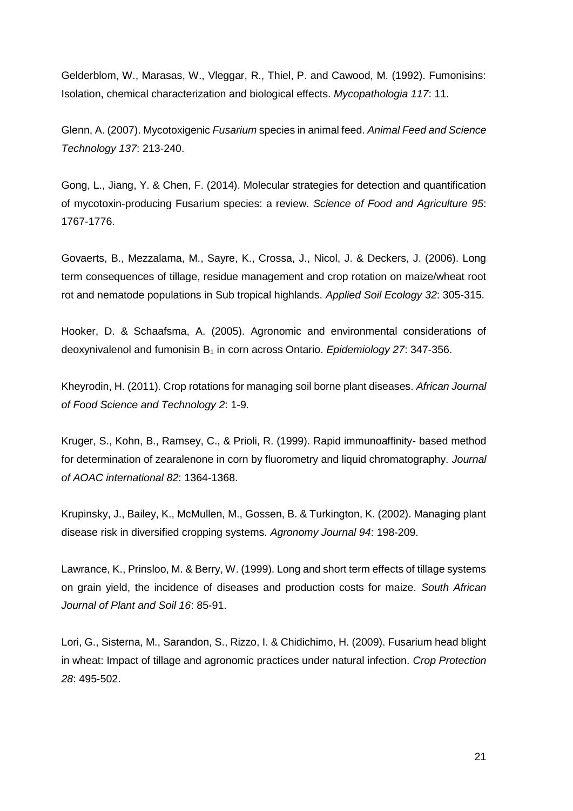Gelderblom, W., Marasas, W., Vleggar, R., Thiel, P. and Cawood, M. (1992). Fumonisins: Isolation, chemical characterization and biological effects. *Mycopathologia 117*: 11.

Glenn, A. (2007). Mycotoxigenic *Fusarium* species in animal feed. *Animal Feed and Science Technology 137*: 213-240.

Gong, L., Jiang, Y. & Chen, F. (2014). Molecular strategies for detection and quantification of mycotoxin-producing Fusarium species: a review. *Science of Food and Agriculture 95*: 1767-1776.

Govaerts, B., Mezzalama, M., Sayre, K., Crossa, J., Nicol, J. & Deckers, J. (2006). Long term consequences of tillage, residue management and crop rotation on maize/wheat root rot and nematode populations in Sub tropical highlands. *Applied Soil Ecology 32*: 305-315.

Hooker, D. & Schaafsma, A. (2005). Agronomic and environmental considerations of deoxynivalenol and fumonisin B<sup>1</sup> in corn across Ontario. *Epidemiology 27*: 347-356.

Kheyrodin, H. (2011). Crop rotations for managing soil borne plant diseases. *African Journal of Food Science and Technology 2*: 1-9.

Kruger, S., Kohn, B., Ramsey, C., & Prioli, R. (1999). Rapid immunoaffinity- based method for determination of zearalenone in corn by fluorometry and liquid chromatography. *Journal of AOAC international 82*: 1364-1368.

Krupinsky, J., Bailey, K., McMullen, M., Gossen, B. & Turkington, K. (2002). Managing plant disease risk in diversified cropping systems. *Agronomy Journal 94*: 198-209.

Lawrance, K., Prinsloo, M. & Berry, W. (1999). Long and short term effects of tillage systems on grain yield, the incidence of diseases and production costs for maize. *South African Journal of Plant and Soil 16*: 85-91.

Lori, G., Sisterna, M., Sarandon, S., Rizzo, I. & Chidichimo, H. (2009). Fusarium head blight in wheat: Impact of tillage and agronomic practices under natural infection. *Crop Protection 28*: 495-502.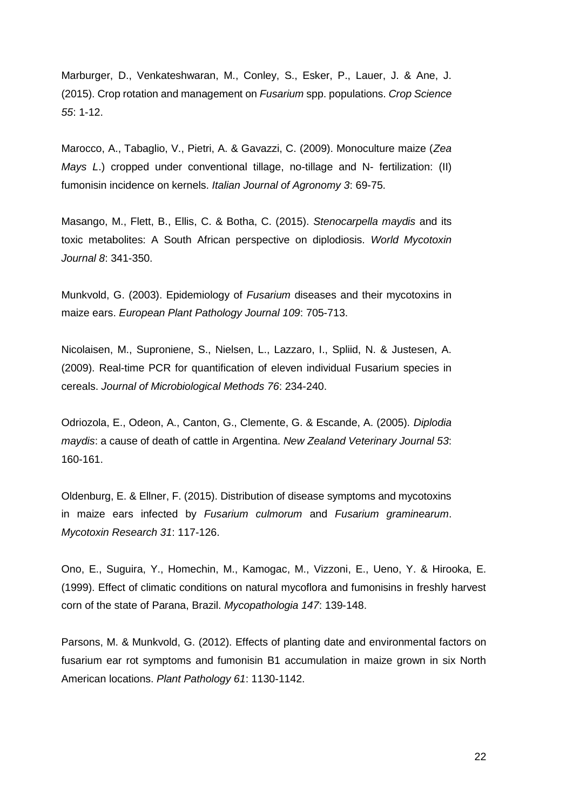Marburger, D., Venkateshwaran, M., Conley, S., Esker, P., Lauer, J. & Ane, J. (2015). Crop rotation and management on *Fusarium* spp. populations. *Crop Science 55*: 1-12.

Marocco, A., Tabaglio, V., Pietri, A. & Gavazzi, C. (2009). Monoculture maize (*Zea Mays L*.) cropped under conventional tillage, no-tillage and N- fertilization: (II) fumonisin incidence on kernels. *Italian Journal of Agronomy 3*: 69-75.

Masango, M., Flett, B., Ellis, C. & Botha, C. (2015). *Stenocarpella maydis* and its toxic metabolites: A South African perspective on diplodiosis. *World Mycotoxin Journal 8*: 341-350.

Munkvold, G. (2003). Epidemiology of *Fusarium* diseases and their mycotoxins in maize ears. *European Plant Pathology Journal 109*: 705-713.

Nicolaisen, M., Suproniene, S., Nielsen, L., Lazzaro, I., Spliid, N. & Justesen, A. (2009). Real-time PCR for quantification of eleven individual Fusarium species in cereals. *Journal of Microbiological Methods 76*: 234-240.

Odriozola, E., Odeon, A., Canton, G., Clemente, G. & Escande, A. (2005). *Diplodia maydis*: a cause of death of cattle in Argentina. *New Zealand Veterinary Journal 53*: 160-161.

Oldenburg, E. & Ellner, F. (2015). Distribution of disease symptoms and mycotoxins in maize ears infected by *Fusarium culmorum* and *Fusarium graminearum*. *Mycotoxin Research 31*: 117-126.

Ono, E., Suguira, Y., Homechin, M., Kamogac, M., Vizzoni, E., Ueno, Y. & Hirooka, E. (1999). Effect of climatic conditions on natural mycoflora and fumonisins in freshly harvest corn of the state of Parana, Brazil. *Mycopathologia 147*: 139-148.

Parsons, M. & Munkvold, G. (2012). Effects of planting date and environmental factors on fusarium ear rot symptoms and fumonisin B1 accumulation in maize grown in six North American locations. *Plant Pathology 61*: 1130-1142.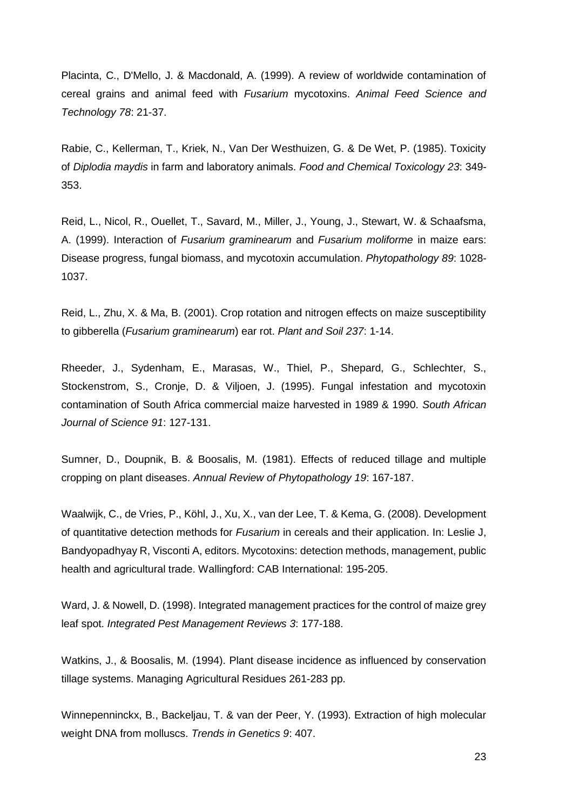Placinta, C., D'Mello, J. & Macdonald, A. (1999). A review of worldwide contamination of cereal grains and animal feed with *Fusarium* mycotoxins. *Animal Feed Science and Technology 78*: 21-37.

Rabie, C., Kellerman, T., Kriek, N., Van Der Westhuizen, G. & De Wet, P. (1985). Toxicity of *Diplodia maydis* in farm and laboratory animals. *Food and Chemical Toxicology 23*: 349- 353.

Reid, L., Nicol, R., Ouellet, T., Savard, M., Miller, J., Young, J., Stewart, W. & Schaafsma, A. (1999). Interaction of *Fusarium graminearum* and *Fusarium moliforme* in maize ears: Disease progress, fungal biomass, and mycotoxin accumulation. *Phytopathology 89*: 1028- 1037.

Reid, L., Zhu, X. & Ma, B. (2001). Crop rotation and nitrogen effects on maize susceptibility to gibberella (*Fusarium graminearum*) ear rot. *Plant and Soil 237*: 1-14.

Rheeder, J., Sydenham, E., Marasas, W., Thiel, P., Shepard, G., Schlechter, S., Stockenstrom, S., Cronje, D. & Viljoen, J. (1995). Fungal infestation and mycotoxin contamination of South Africa commercial maize harvested in 1989 & 1990. *South African Journal of Science 91*: 127-131.

Sumner, D., Doupnik, B. & Boosalis, M. (1981). Effects of reduced tillage and multiple cropping on plant diseases. *Annual Review of Phytopathology 19*: 167-187.

Waalwijk, C., de Vries, P., Köhl, J., Xu, X., van der Lee, T. & Kema, G. (2008). Development of quantitative detection methods for *Fusarium* in cereals and their application. In: Leslie J, Bandyopadhyay R, Visconti A, editors. Mycotoxins: detection methods, management, public health and agricultural trade. Wallingford: CAB International: 195-205.

Ward, J. & Nowell, D. (1998). Integrated management practices for the control of maize grey leaf spot. *Integrated Pest Management Reviews 3*: 177-188.

Watkins, J., & Boosalis, M. (1994). Plant disease incidence as influenced by conservation tillage systems. Managing Agricultural Residues 261-283 pp.

Winnepenninckx, B., Backeljau, T. & van der Peer, Y. (1993). Extraction of high molecular weight DNA from molluscs. *Trends in Genetics 9*: 407.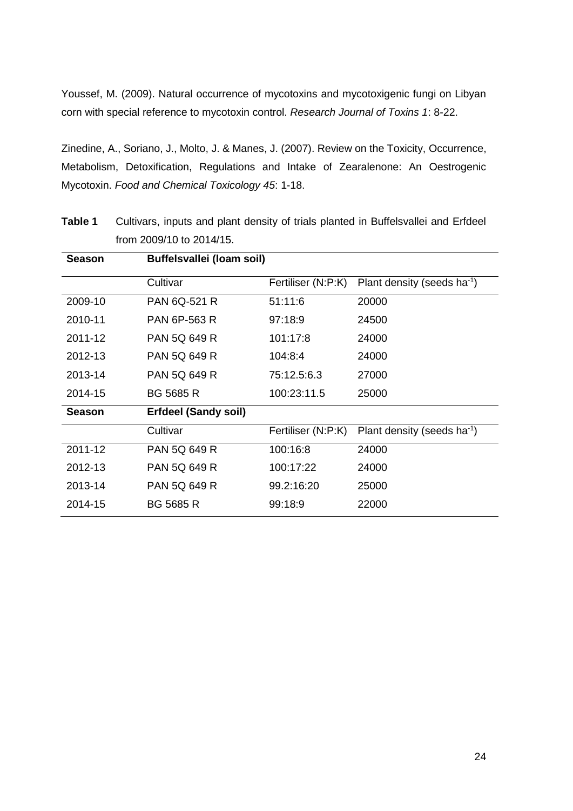Youssef, M. (2009). Natural occurrence of mycotoxins and mycotoxigenic fungi on Libyan corn with special reference to mycotoxin control. *Research Journal of Toxins 1*: 8-22.

Zinedine, A., Soriano, J., Molto, J. & Manes, J. (2007). Review on the Toxicity, Occurrence, Metabolism, Detoxification, Regulations and Intake of Zearalenone: An Oestrogenic Mycotoxin. *Food and Chemical Toxicology 45*: 1-18.

| <b>Season</b> | Buffelsvallei (Ioam soil)   |                    |                                         |  |  |
|---------------|-----------------------------|--------------------|-----------------------------------------|--|--|
|               | Cultivar                    | Fertiliser (N:P:K) | Plant density (seeds ha <sup>-1</sup> ) |  |  |
| 2009-10       | <b>PAN 6Q-521 R</b>         | 51:11:6            | 20000                                   |  |  |
| 2010-11       | <b>PAN 6P-563 R</b>         | 97:18:9            | 24500                                   |  |  |
| 2011-12       | <b>PAN 5Q 649 R</b>         | 101:17:8           | 24000                                   |  |  |
| 2012-13       | <b>PAN 5Q 649 R</b>         | 104:8:4            | 24000                                   |  |  |
| 2013-14       | <b>PAN 5Q 649 R</b>         | 75:12.5:6.3        | 27000                                   |  |  |
| 2014-15       | <b>BG 5685 R</b>            | 100:23:11.5        | 25000                                   |  |  |
| <b>Season</b> | <b>Erfdeel (Sandy soil)</b> |                    |                                         |  |  |
|               | Cultivar                    | Fertiliser (N:P:K) | Plant density (seeds ha <sup>-1</sup> ) |  |  |
| 2011-12       | <b>PAN 5Q 649 R</b>         | 100:16:8           | 24000                                   |  |  |
| 2012-13       | <b>PAN 5Q 649 R</b>         | 100:17:22          | 24000                                   |  |  |
| 2013-14       | <b>PAN 5Q 649 R</b>         | 99.2:16:20         | 25000                                   |  |  |
| 2014-15       | <b>BG 5685 R</b>            | 99:18:9            | 22000                                   |  |  |

**Table 1** Cultivars, inputs and plant density of trials planted in Buffelsvallei and Erfdeel from 2009/10 to 2014/15.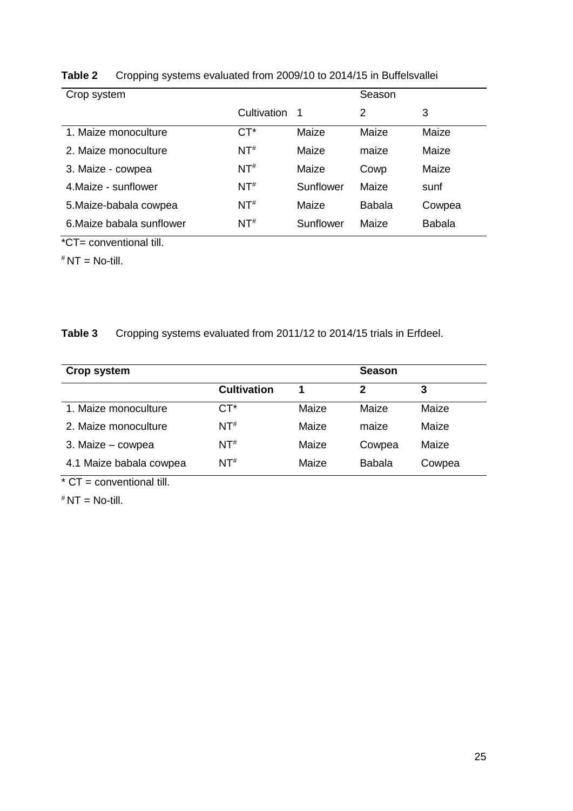| Crop system               |             |           | Season        |               |
|---------------------------|-------------|-----------|---------------|---------------|
|                           | Cultivation | -1        | 2             | 3             |
| 1. Maize monoculture      | $CT^*$      | Maize     | Maize         | Maize         |
| 2. Maize monoculture      | $NT^{\#}$   | Maize     | maize         | Maize         |
| 3. Maize - cowpea         | $NT^{\#}$   | Maize     | Cowp          | Maize         |
| 4 Maize - sunflower       | $NT^{\#}$   | Sunflower | Maize         | sunf          |
| 5. Maize-babala cowpea    | $NT^{\#}$   | Maize     | <b>Babala</b> | Cowpea        |
| 6. Maize babala sunflower | $NT^{\#}$   | Sunflower | Maize         | <b>Babala</b> |

**Table 2** Cropping systems evaluated from 2009/10 to 2014/15 in Buffelsvallei

\*CT= conventional till.

 $*$  NT = No-till.

## **Table 3** Cropping systems evaluated from 2011/12 to 2014/15 trials in Erfdeel.

| Crop system             |                    |       | <b>Season</b> |        |
|-------------------------|--------------------|-------|---------------|--------|
|                         | <b>Cultivation</b> | 1     | 2             | 3      |
| 1. Maize monoculture    | $CT^*$             | Maize | Maize         | Maize  |
| 2. Maize monoculture    | $NT^{\#}$          | Maize | maize         | Maize  |
| 3. Maize - cowpea       | $NT^{\#}$          | Maize | Cowpea        | Maize  |
| 4.1 Maize babala cowpea | $NT^{\#}$          | Maize | <b>Babala</b> | Cowpea |

 $*$  CT = conventional till.

 $*$  NT = No-till.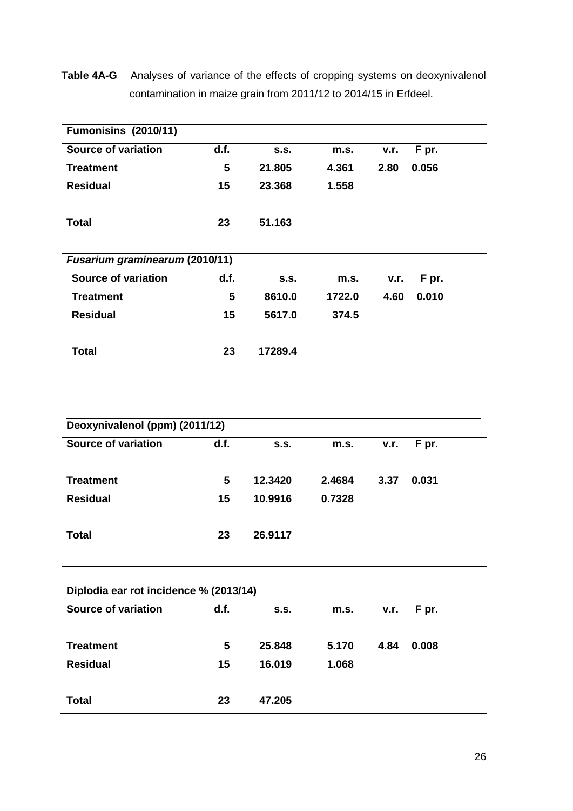**Table 4A-G** Analyses of variance of the effects of cropping systems on deoxynivalenol contamination in maize grain from 2011/12 to 2014/15 in Erfdeel.

| <b>Fumonisins (2010/11)</b>    |      |         |        |      |       |  |
|--------------------------------|------|---------|--------|------|-------|--|
| <b>Source of variation</b>     | d.f. | S.S.    | m.s.   | v.r. | F pr. |  |
| <b>Treatment</b>               | 5    | 21.805  | 4.361  | 2.80 | 0.056 |  |
| <b>Residual</b>                | 15   | 23.368  | 1.558  |      |       |  |
| Total                          | 23   | 51.163  |        |      |       |  |
| Fusarium graminearum (2010/11) |      |         |        |      |       |  |
| <b>Source of variation</b>     | d.f. | S.S.    | m.s.   | v.r. | F pr. |  |
| <b>Treatment</b>               | 5    | 8610.0  | 1722.0 | 4.60 | 0.010 |  |
| <b>Residual</b>                | 15   | 5617.0  | 374.5  |      |       |  |
| Total                          | 23   | 17289.4 |        |      |       |  |

| Deoxynivalenol (ppm) (2011/12) |  |
|--------------------------------|--|
|--------------------------------|--|

| Source of variation | d.f. | S.S.    | m.s.   | v.r. | F pr. |  |
|---------------------|------|---------|--------|------|-------|--|
| <b>Treatment</b>    | 5    | 12.3420 | 2.4684 | 3.37 | 0.031 |  |
| <b>Residual</b>     | 15   | 10.9916 | 0.7328 |      |       |  |
| <b>Total</b>        | 23   | 26.9117 |        |      |       |  |

|  |  | Diplodia ear rot incidence % (2013/14) |  |  |
|--|--|----------------------------------------|--|--|
|--|--|----------------------------------------|--|--|

| Source of variation | d.f. | <b>S.S.</b> | m.s.  | v.r. | F pr. |
|---------------------|------|-------------|-------|------|-------|
| <b>Treatment</b>    | 5    | 25,848      | 5.170 | 4.84 | 0.008 |
| <b>Residual</b>     | 15   | 16.019      | 1.068 |      |       |
| <b>Total</b>        | 23   | 47.205      |       |      |       |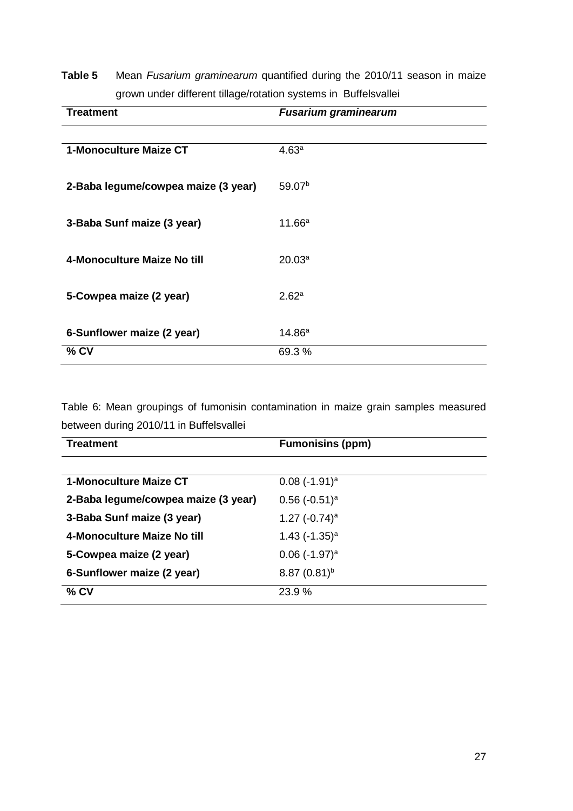## **Table 5** Mean *Fusarium graminearum* quantified during the 2010/11 season in maize grown under different tillage/rotation systems in Buffelsvallei

| <b>Treatment</b>                    | <b>Fusarium graminearum</b> |
|-------------------------------------|-----------------------------|
|                                     |                             |
| 1-Monoculture Maize CT              | 4.63 <sup>a</sup>           |
|                                     |                             |
| 2-Baba legume/cowpea maize (3 year) | 59.07 <sup>b</sup>          |
|                                     |                             |
| 3-Baba Sunf maize (3 year)          | 11.66a                      |
|                                     |                             |
| 4-Monoculture Maize No till         | 20.03 <sup>a</sup>          |
|                                     |                             |
| 5-Cowpea maize (2 year)             | 2.62 <sup>a</sup>           |
|                                     |                             |
| 6-Sunflower maize (2 year)          | 14.86 <sup>a</sup>          |
| % CV                                | 69.3%                       |
|                                     |                             |

Table 6: Mean groupings of fumonisin contamination in maize grain samples measured between during 2010/11 in Buffelsvallei

| <b>Treatment</b>                    | <b>Fumonisins (ppm)</b>     |
|-------------------------------------|-----------------------------|
|                                     |                             |
| 1-Monoculture Maize CT              | $0.08$ (-1.91) <sup>a</sup> |
| 2-Baba legume/cowpea maize (3 year) | $0.56$ (-0.51) <sup>a</sup> |
| 3-Baba Sunf maize (3 year)          | 1.27 $(-0.74)^a$            |
| 4-Monoculture Maize No till         | 1.43 $(-1.35)^a$            |
| 5-Cowpea maize (2 year)             | $0.06$ (-1.97) <sup>a</sup> |
| 6-Sunflower maize (2 year)          | $8.87(0.81)^b$              |
| $%$ CV                              | 23.9 %                      |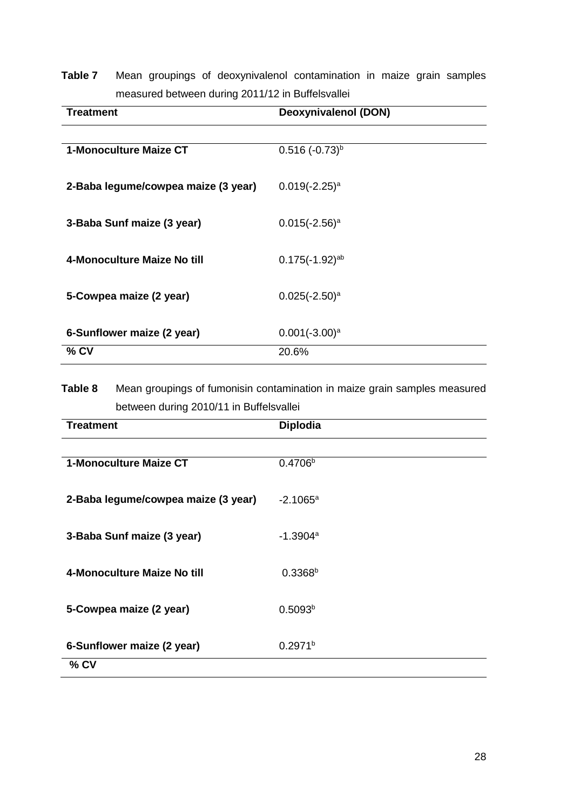| Table 7 |  | Mean groupings of deoxynivalenol contamination in maize grain samples |  |  |  |
|---------|--|-----------------------------------------------------------------------|--|--|--|
|         |  | measured between during 2011/12 in Buffelsvallei                      |  |  |  |

| Treatment                           | Deoxynivalenol (DON) |
|-------------------------------------|----------------------|
|                                     |                      |
| 1-Monoculture Maize CT              | $0.516 (-0.73)^{b}$  |
|                                     |                      |
| 2-Baba legume/cowpea maize (3 year) | $0.019(-2.25)^a$     |
|                                     |                      |
| 3-Baba Sunf maize (3 year)          | $0.015(-2.56)^a$     |
|                                     |                      |
| 4-Monoculture Maize No till         | $0.175(-1.92)^{ab}$  |
|                                     |                      |
| 5-Cowpea maize (2 year)             | $0.025(-2.50)^a$     |
|                                     |                      |
| 6-Sunflower maize (2 year)          | $0.001(-3.00)^a$     |
| $%$ CV                              | 20.6%                |

**Table 8** Mean groupings of fumonisin contamination in maize grain samples measured between during 2010/11 in Buffelsvallei

| <b>Treatment</b>                    | <b>Diplodia</b>     |
|-------------------------------------|---------------------|
|                                     |                     |
| <b>1-Monoculture Maize CT</b>       | 0.4706 <sup>b</sup> |
|                                     |                     |
| 2-Baba legume/cowpea maize (3 year) | $-2.1065a$          |
|                                     |                     |
| 3-Baba Sunf maize (3 year)          | $-1.3904a$          |
|                                     |                     |
| 4-Monoculture Maize No till         | $0.3368^{b}$        |
|                                     |                     |
| 5-Cowpea maize (2 year)             | 0.5093 <sup>b</sup> |
|                                     |                     |
| 6-Sunflower maize (2 year)          | 0.2971 <sup>b</sup> |
| $%$ CV                              |                     |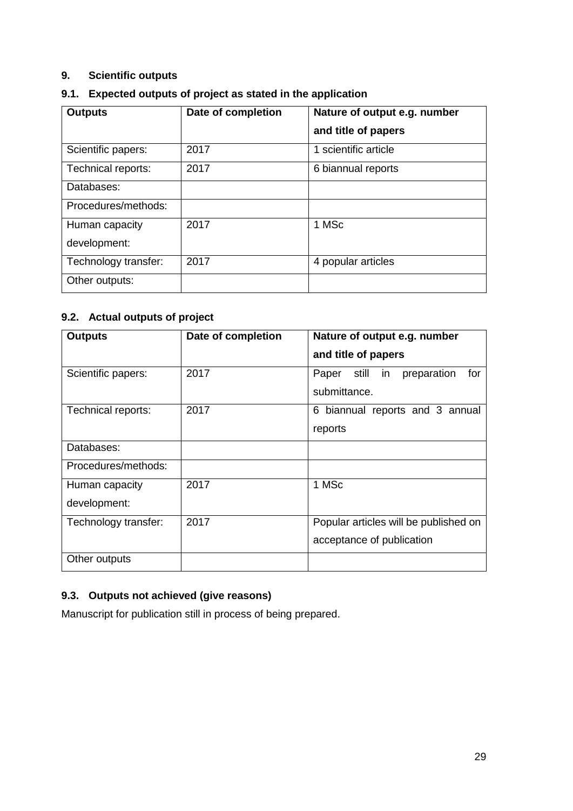## **9. Scientific outputs**

| 9.1. Expected outputs of project as stated in the application |  |  |
|---------------------------------------------------------------|--|--|
|                                                               |  |  |

| <b>Outputs</b>       | Date of completion | Nature of output e.g. number |
|----------------------|--------------------|------------------------------|
|                      |                    | and title of papers          |
| Scientific papers:   | 2017               | 1 scientific article         |
| Technical reports:   | 2017               | 6 biannual reports           |
| Databases:           |                    |                              |
| Procedures/methods:  |                    |                              |
| Human capacity       | 2017               | 1 MSc                        |
| development:         |                    |                              |
| Technology transfer: | 2017               | 4 popular articles           |
| Other outputs:       |                    |                              |

## **9.2. Actual outputs of project**

| <b>Outputs</b>                 | Date of completion | Nature of output e.g. number<br>and title of papers                |
|--------------------------------|--------------------|--------------------------------------------------------------------|
| Scientific papers:             | 2017               | for<br>still in<br>preparation<br>Paper<br>submittance.            |
| Technical reports:             | 2017               | biannual reports and 3 annual<br>6<br>reports                      |
| Databases:                     |                    |                                                                    |
| Procedures/methods:            |                    |                                                                    |
| Human capacity<br>development: | 2017               | 1 MSc                                                              |
| Technology transfer:           | 2017               | Popular articles will be published on<br>acceptance of publication |
| Other outputs                  |                    |                                                                    |

## **9.3. Outputs not achieved (give reasons)**

Manuscript for publication still in process of being prepared.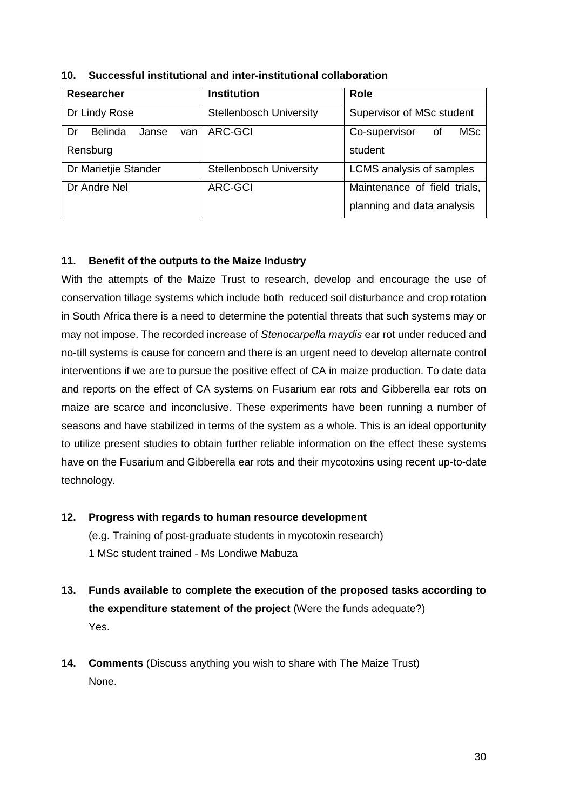| <b>Researcher</b>                    | <b>Institution</b>             | <b>Role</b>                  |
|--------------------------------------|--------------------------------|------------------------------|
| Dr Lindy Rose                        | <b>Stellenbosch University</b> | Supervisor of MSc student    |
| <b>Belinda</b><br>Dr<br>Janse<br>van | <b>ARC-GCI</b>                 | MSc<br>Co-supervisor<br>0f   |
| Rensburg                             |                                | student                      |
| Dr Marietjie Stander                 | <b>Stellenbosch University</b> | LCMS analysis of samples     |
| Dr Andre Nel                         | <b>ARC-GCI</b>                 | Maintenance of field trials, |
|                                      |                                | planning and data analysis   |

**10. Successful institutional and inter-institutional collaboration**

## **11. Benefit of the outputs to the Maize Industry**

With the attempts of the Maize Trust to research, develop and encourage the use of conservation tillage systems which include both reduced soil disturbance and crop rotation in South Africa there is a need to determine the potential threats that such systems may or may not impose. The recorded increase of *Stenocarpella maydis* ear rot under reduced and no-till systems is cause for concern and there is an urgent need to develop alternate control interventions if we are to pursue the positive effect of CA in maize production. To date data and reports on the effect of CA systems on Fusarium ear rots and Gibberella ear rots on maize are scarce and inconclusive. These experiments have been running a number of seasons and have stabilized in terms of the system as a whole. This is an ideal opportunity to utilize present studies to obtain further reliable information on the effect these systems have on the Fusarium and Gibberella ear rots and their mycotoxins using recent up-to-date technology.

- **12. Progress with regards to human resource development** (e.g. Training of post-graduate students in mycotoxin research) 1 MSc student trained - Ms Londiwe Mabuza
- **13. Funds available to complete the execution of the proposed tasks according to the expenditure statement of the project** (Were the funds adequate?) Yes.
- **14. Comments** (Discuss anything you wish to share with The Maize Trust) None.